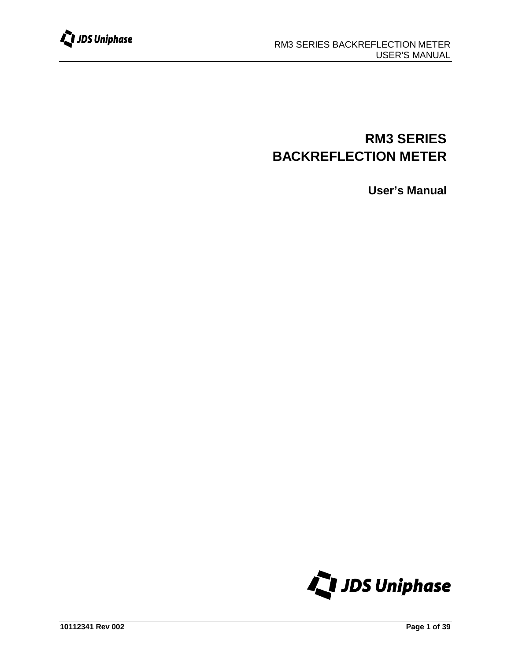

# **RM3 SERIES BACKREFLECTION METER**

**User's Manual**

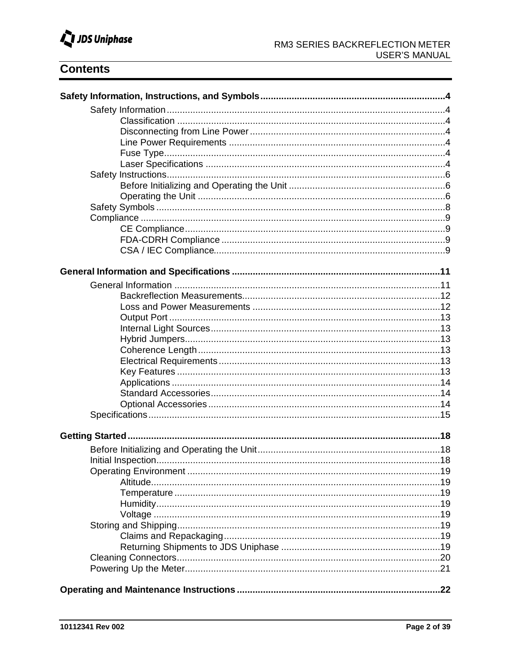

# **Contents**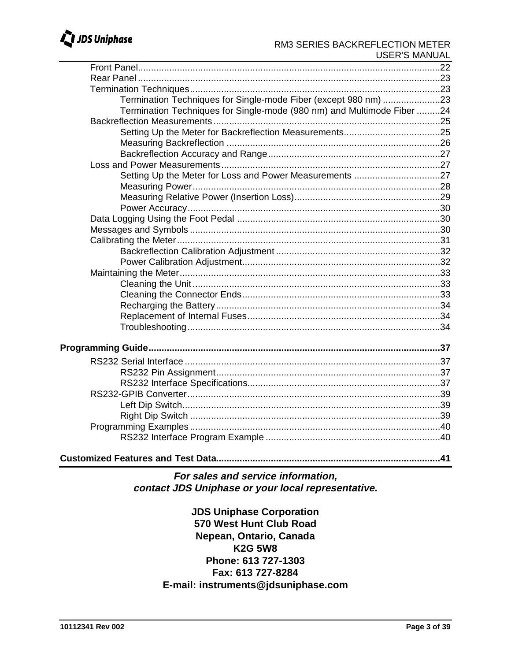# JDS Uniphase

### RM3 SERIES BACKREFLECTION METER **USER'S MANUAL**

| Termination Techniques for Single-mode Fiber (except 980 nm) 23        |     |
|------------------------------------------------------------------------|-----|
| Termination Techniques for Single-mode (980 nm) and Multimode Fiber 24 |     |
|                                                                        |     |
|                                                                        |     |
|                                                                        |     |
|                                                                        |     |
|                                                                        |     |
| Setting Up the Meter for Loss and Power Measurements 27                |     |
|                                                                        |     |
|                                                                        |     |
|                                                                        |     |
|                                                                        |     |
|                                                                        |     |
|                                                                        |     |
|                                                                        |     |
|                                                                        |     |
|                                                                        |     |
|                                                                        |     |
|                                                                        |     |
|                                                                        |     |
|                                                                        |     |
|                                                                        |     |
|                                                                        |     |
|                                                                        |     |
|                                                                        |     |
|                                                                        |     |
|                                                                        |     |
|                                                                        |     |
|                                                                        |     |
|                                                                        |     |
|                                                                        |     |
| <b>Customized Features and Test Data</b>                               | .41 |

For sales and service information, contact JDS Uniphase or your local representative.

> **JDS Uniphase Corporation** 570 West Hunt Club Road Nepean, Ontario, Canada **K2G 5W8** Phone: 613 727-1303 Fax: 613 727-8284 E-mail: instruments@jdsuniphase.com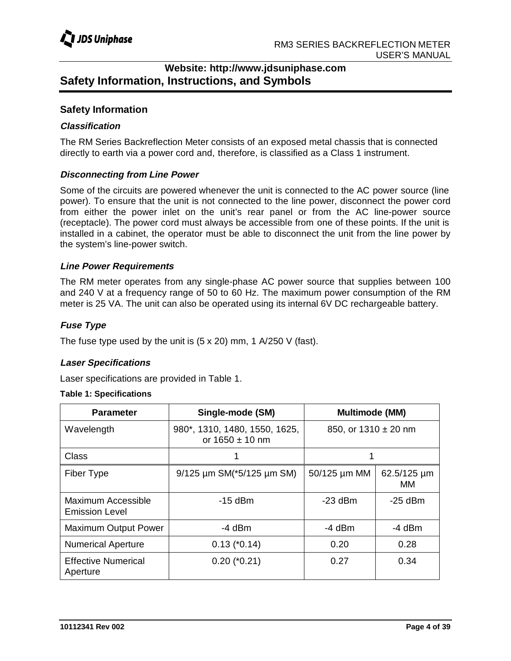# **Website: http://www.jdsuniphase.com Safety Information, Instructions, and Symbols**

### **Safety Information**

### **Classification**

The RM Series Backreflection Meter consists of an exposed metal chassis that is connected directly to earth via a power cord and, therefore, is classified as a Class 1 instrument.

### **Disconnecting from Line Power**

Some of the circuits are powered whenever the unit is connected to the AC power source (line power). To ensure that the unit is not connected to the line power, disconnect the power cord from either the power inlet on the unit's rear panel or from the AC line-power source (receptacle). The power cord must always be accessible from one of these points. If the unit is installed in a cabinet, the operator must be able to disconnect the unit from the line power by the system's line-power switch.

### **Line Power Requirements**

The RM meter operates from any single-phase AC power source that supplies between 100 and 240 V at a frequency range of 50 to 60 Hz. The maximum power consumption of the RM meter is 25 VA. The unit can also be operated using its internal 6V DC rechargeable battery.

### **Fuse Type**

The fuse type used by the unit is (5 x 20) mm, 1 A/250 V (fast).

### **Laser Specifications**

Laser specifications are provided in Table 1.

### **Table 1: Specifications**

| <b>Parameter</b>                            | Single-mode (SM)                                     | <b>Multimode (MM)</b>    |                        |
|---------------------------------------------|------------------------------------------------------|--------------------------|------------------------|
| Wavelength                                  | 980*, 1310, 1480, 1550, 1625,<br>or $1650 \pm 10$ nm | 850, or $1310 \pm 20$ nm |                        |
| <b>Class</b>                                |                                                      |                          |                        |
| <b>Fiber Type</b>                           | $9/125$ µm SM( $*5/125$ µm SM)                       | 50/125 µm MM             | $62.5/125 \mu m$<br>MМ |
| Maximum Accessible<br><b>Emission Level</b> | $-15$ dBm                                            | $-23$ dBm                | $-25$ dBm              |
| <b>Maximum Output Power</b>                 | -4 dBm                                               | -4 dBm                   | -4 dBm                 |
| <b>Numerical Aperture</b>                   | $0.13$ ( $*0.14$ )                                   | 0.20                     | 0.28                   |
| <b>Effective Numerical</b><br>Aperture      | $0.20$ ( $*0.21$ )                                   | 0.27                     | 0.34                   |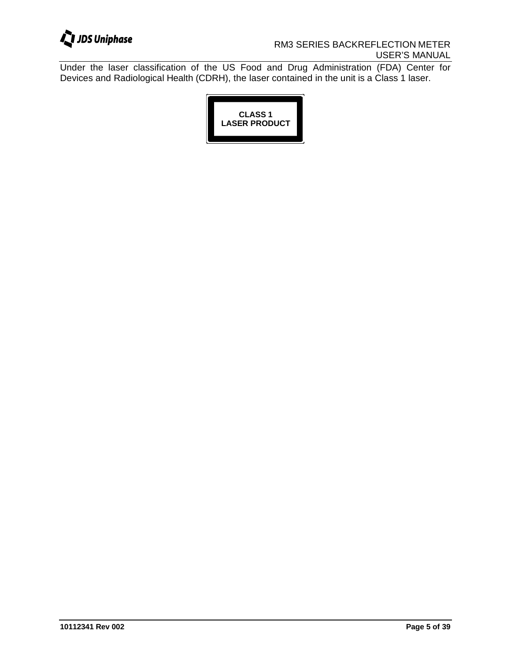

### RM3 SERIES BACKREFLECTION METER USER'S MANUAL

Under the laser classification of the US Food and Drug Administration (FDA) Center for Devices and Radiological Health (CDRH), the laser contained in the unit is a Class 1 laser.

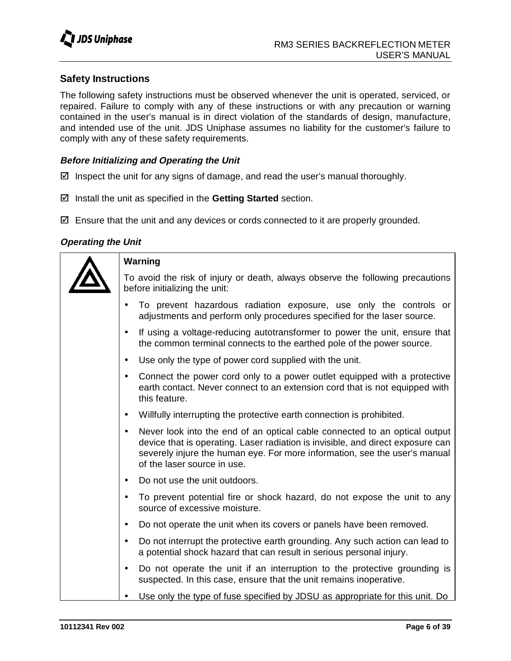### **Safety Instructions**

The following safety instructions must be observed whenever the unit is operated, serviced, or repaired. Failure to comply with any of these instructions or with any precaution or warning contained in the user's manual is in direct violation of the standards of design, manufacture, and intended use of the unit. JDS Uniphase assumes no liability for the customer's failure to comply with any of these safety requirements.

### **Before Initializing and Operating the Unit**

- $\boxtimes$  Inspect the unit for any signs of damage, and read the user's manual thoroughly.
- Install the unit as specified in the **Getting Started** section.
- $\boxtimes$  Ensure that the unit and any devices or cords connected to it are properly grounded.

### **Operating the Unit**

| Warning                                                                                                                                                                                                                                                                                 |  |  |
|-----------------------------------------------------------------------------------------------------------------------------------------------------------------------------------------------------------------------------------------------------------------------------------------|--|--|
| To avoid the risk of injury or death, always observe the following precautions<br>before initializing the unit:                                                                                                                                                                         |  |  |
| To prevent hazardous radiation exposure, use only the controls or<br>adjustments and perform only procedures specified for the laser source.                                                                                                                                            |  |  |
| If using a voltage-reducing autotransformer to power the unit, ensure that<br>the common terminal connects to the earthed pole of the power source.                                                                                                                                     |  |  |
| Use only the type of power cord supplied with the unit.<br>$\bullet$                                                                                                                                                                                                                    |  |  |
| Connect the power cord only to a power outlet equipped with a protective<br>$\bullet$<br>earth contact. Never connect to an extension cord that is not equipped with<br>this feature.                                                                                                   |  |  |
| Willfully interrupting the protective earth connection is prohibited.<br>$\bullet$                                                                                                                                                                                                      |  |  |
| Never look into the end of an optical cable connected to an optical output<br>$\bullet$<br>device that is operating. Laser radiation is invisible, and direct exposure can<br>severely injure the human eye. For more information, see the user's manual<br>of the laser source in use. |  |  |
| Do not use the unit outdoors.<br>$\bullet$                                                                                                                                                                                                                                              |  |  |
| To prevent potential fire or shock hazard, do not expose the unit to any<br>$\bullet$<br>source of excessive moisture.                                                                                                                                                                  |  |  |
| Do not operate the unit when its covers or panels have been removed.<br>$\bullet$                                                                                                                                                                                                       |  |  |
| Do not interrupt the protective earth grounding. Any such action can lead to<br>$\bullet$<br>a potential shock hazard that can result in serious personal injury.                                                                                                                       |  |  |
| Do not operate the unit if an interruption to the protective grounding is<br>$\bullet$<br>suspected. In this case, ensure that the unit remains inoperative.                                                                                                                            |  |  |
| Use only the type of fuse specified by JDSU as appropriate for this unit. Do                                                                                                                                                                                                            |  |  |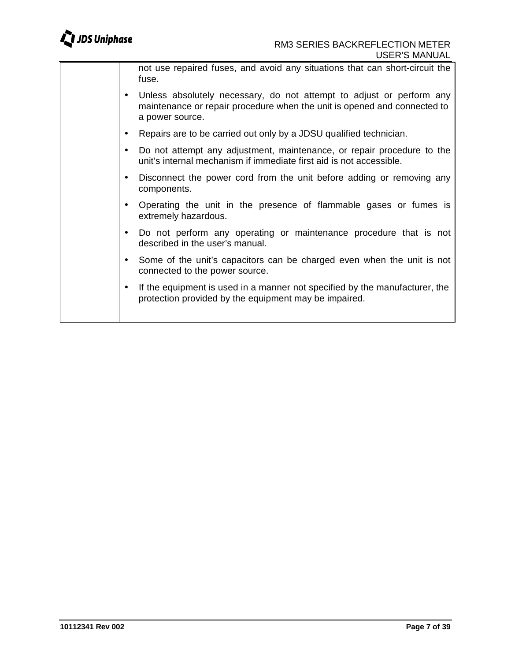not use repaired fuses, and avoid any situations that can short-circuit the fuse.

- Unless absolutely necessary, do not attempt to adjust or perform any maintenance or repair procedure when the unit is opened and connected to a power source.
- Repairs are to be carried out only by a JDSU qualified technician.
- Do not attempt any adjustment, maintenance, or repair procedure to the unit's internal mechanism if immediate first aid is not accessible.
- Disconnect the power cord from the unit before adding or removing any components.
- Operating the unit in the presence of flammable gases or fumes is extremely hazardous.
- Do not perform any operating or maintenance procedure that is not described in the user's manual.
- Some of the unit's capacitors can be charged even when the unit is not connected to the power source.
- If the equipment is used in a manner not specified by the manufacturer, the protection provided by the equipment may be impaired.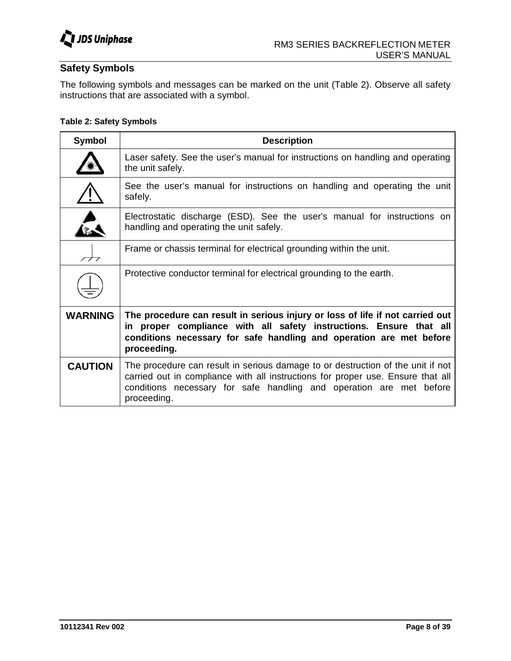

### **Safety Symbols**

The following symbols and messages can be marked on the unit (Table 2). Observe all safety instructions that are associated with a symbol.

### **Table 2: Safety Symbols**

| <b>Symbol</b>  | <b>Description</b>                                                                                                                                                                                                                                       |
|----------------|----------------------------------------------------------------------------------------------------------------------------------------------------------------------------------------------------------------------------------------------------------|
|                | Laser safety. See the user's manual for instructions on handling and operating<br>the unit safely.                                                                                                                                                       |
|                | See the user's manual for instructions on handling and operating the unit<br>safely.                                                                                                                                                                     |
|                | Electrostatic discharge (ESD). See the user's manual for instructions on<br>handling and operating the unit safely.                                                                                                                                      |
|                | Frame or chassis terminal for electrical grounding within the unit.                                                                                                                                                                                      |
|                | Protective conductor terminal for electrical grounding to the earth.                                                                                                                                                                                     |
| <b>WARNING</b> | The procedure can result in serious injury or loss of life if not carried out<br>in proper compliance with all safety instructions. Ensure that all<br>conditions necessary for safe handling and operation are met before<br>proceeding.                |
| <b>CAUTION</b> | The procedure can result in serious damage to or destruction of the unit if not<br>carried out in compliance with all instructions for proper use. Ensure that all<br>conditions necessary for safe handling and operation are met before<br>proceeding. |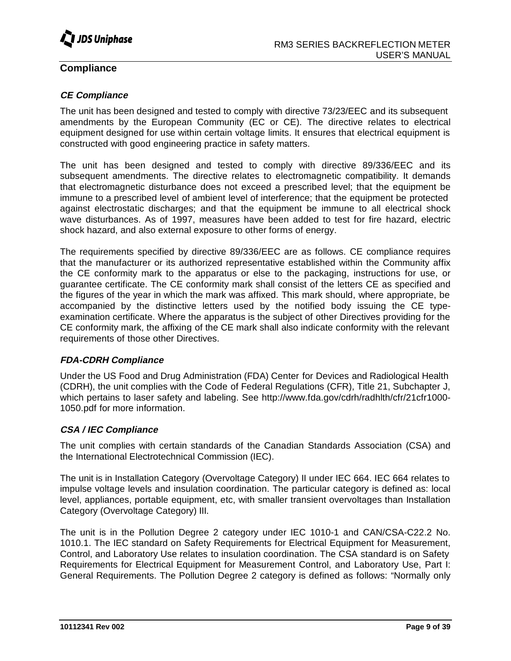

### **Compliance**

### **CE Compliance**

The unit has been designed and tested to comply with directive 73/23/EEC and its subsequent amendments by the European Community (EC or CE). The directive relates to electrical equipment designed for use within certain voltage limits. It ensures that electrical equipment is constructed with good engineering practice in safety matters.

The unit has been designed and tested to comply with directive 89/336/EEC and its subsequent amendments. The directive relates to electromagnetic compatibility. It demands that electromagnetic disturbance does not exceed a prescribed level; that the equipment be immune to a prescribed level of ambient level of interference; that the equipment be protected against electrostatic discharges; and that the equipment be immune to all electrical shock wave disturbances. As of 1997, measures have been added to test for fire hazard, electric shock hazard, and also external exposure to other forms of energy.

The requirements specified by directive 89/336/EEC are as follows. CE compliance requires that the manufacturer or its authorized representative established within the Community affix the CE conformity mark to the apparatus or else to the packaging, instructions for use, or guarantee certificate. The CE conformity mark shall consist of the letters CE as specified and the figures of the year in which the mark was affixed. This mark should, where appropriate, be accompanied by the distinctive letters used by the notified body issuing the CE typeexamination certificate. Where the apparatus is the subject of other Directives providing for the CE conformity mark, the affixing of the CE mark shall also indicate conformity with the relevant requirements of those other Directives.

### **FDA-CDRH Compliance**

Under the US Food and Drug Administration (FDA) Center for Devices and Radiological Health (CDRH), the unit complies with the Code of Federal Regulations (CFR), Title 21, Subchapter J, which pertains to laser safety and labeling. See http://www.fda.gov/cdrh/radhlth/cfr/21cfr1000- 1050.pdf for more information.

### **CSA / IEC Compliance**

The unit complies with certain standards of the Canadian Standards Association (CSA) and the International Electrotechnical Commission (IEC).

The unit is in Installation Category (Overvoltage Category) II under IEC 664. IEC 664 relates to impulse voltage levels and insulation coordination. The particular category is defined as: local level, appliances, portable equipment, etc, with smaller transient overvoltages than Installation Category (Overvoltage Category) III.

The unit is in the Pollution Degree 2 category under IEC 1010-1 and CAN/CSA-C22.2 No. 1010.1. The IEC standard on Safety Requirements for Electrical Equipment for Measurement, Control, and Laboratory Use relates to insulation coordination. The CSA standard is on Safety Requirements for Electrical Equipment for Measurement Control, and Laboratory Use, Part I: General Requirements. The Pollution Degree 2 category is defined as follows: "Normally only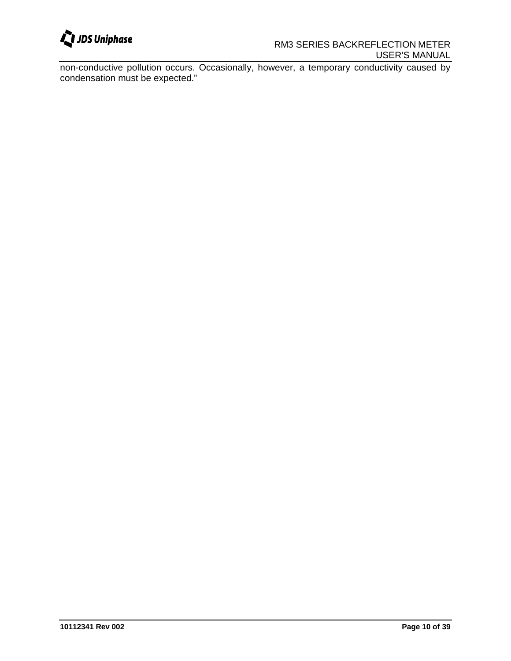

non-conductive pollution occurs. Occasionally, however, a temporary conductivity caused by condensation must be expected."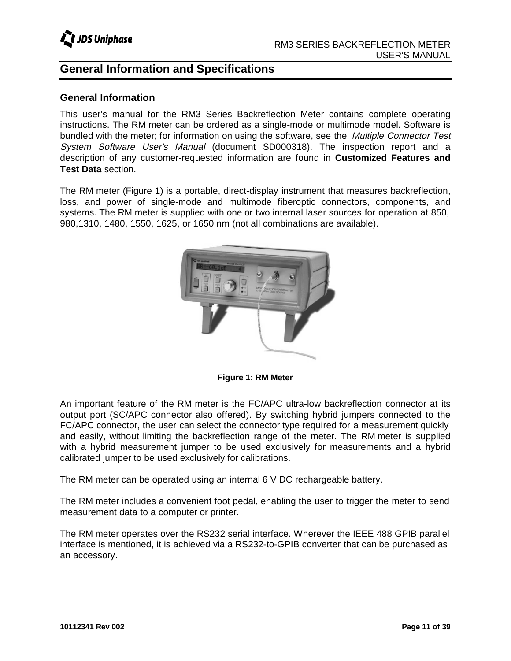# **General Information and Specifications**

### **General Information**

This user's manual for the RM3 Series Backreflection Meter contains complete operating instructions. The RM meter can be ordered as a single-mode or multimode model. Software is bundled with the meter; for information on using the software, see the Multiple Connector Test System Software User's Manual (document SD000318). The inspection report and a description of any customer-requested information are found in **Customized Features and Test Data** section.

The RM meter (Figure 1) is a portable, direct-display instrument that measures backreflection, loss, and power of single-mode and multimode fiberoptic connectors, components, and systems. The RM meter is supplied with one or two internal laser sources for operation at 850, 980,1310, 1480, 1550, 1625, or 1650 nm (not all combinations are available).



**Figure 1: RM Meter**

An important feature of the RM meter is the FC/APC ultra-low backreflection connector at its output port (SC/APC connector also offered). By switching hybrid jumpers connected to the FC/APC connector, the user can select the connector type required for a measurement quickly and easily, without limiting the backreflection range of the meter. The RM meter is supplied with a hybrid measurement jumper to be used exclusively for measurements and a hybrid calibrated jumper to be used exclusively for calibrations.

The RM meter can be operated using an internal 6 V DC rechargeable battery.

The RM meter includes a convenient foot pedal, enabling the user to trigger the meter to send measurement data to a computer or printer.

The RM meter operates over the RS232 serial interface. Wherever the IEEE 488 GPIB parallel interface is mentioned, it is achieved via a RS232-to-GPIB converter that can be purchased as an accessory.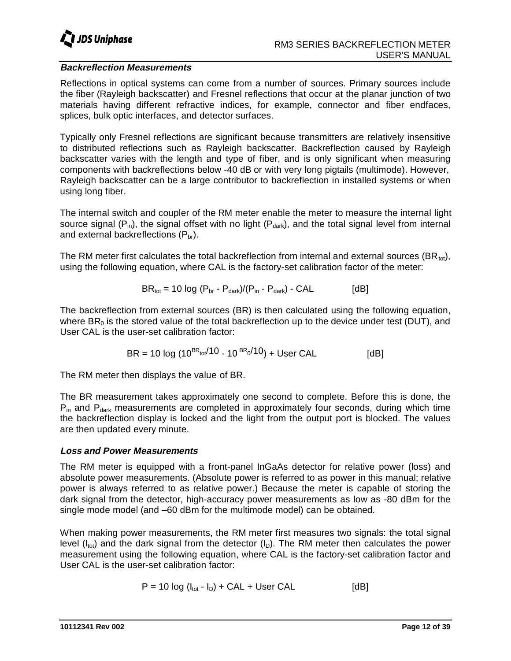

### **Backreflection Measurements**

Reflections in optical systems can come from a number of sources. Primary sources include the fiber (Rayleigh backscatter) and Fresnel reflections that occur at the planar junction of two materials having different refractive indices, for example, connector and fiber endfaces, splices, bulk optic interfaces, and detector surfaces.

Typically only Fresnel reflections are significant because transmitters are relatively insensitive to distributed reflections such as Rayleigh backscatter. Backreflection caused by Rayleigh backscatter varies with the length and type of fiber, and is only significant when measuring components with backreflections below -40 dB or with very long pigtails (multimode). However, Rayleigh backscatter can be a large contributor to backreflection in installed systems or when using long fiber.

The internal switch and coupler of the RM meter enable the meter to measure the internal light source signal ( $P_{in}$ ), the signal offset with no light ( $P_{dark}$ ), and the total signal level from internal and external backreflections  $(P_{\text{br}})$ .

The RM meter first calculates the total backreflection from internal and external sources (BR $_{\text{tot}}$ ), using the following equation, where CAL is the factory-set calibration factor of the meter:

$$
BR_{\text{tot}} = 10 \log (P_{\text{br}} - P_{\text{dark}})/(P_{\text{in}} - P_{\text{dark}}) - CAL
$$
 [dB]

The backreflection from external sources (BR) is then calculated using the following equation, where  $BR_0$  is the stored value of the total backreflection up to the device under test (DUT), and User CAL is the user-set calibration factor:

$$
BR = 10 \log (10^{BR_{tot}/10} - 10^{BR_0}/10) + User CAL
$$
 [dB]

The RM meter then displays the value of BR.

The BR measurement takes approximately one second to complete. Before this is done, the  $P_{in}$  and  $P_{dark}$  measurements are completed in approximately four seconds, during which time the backreflection display is locked and the light from the output port is blocked. The values are then updated every minute.

### **Loss and Power Measurements**

The RM meter is equipped with a front-panel InGaAs detector for relative power (loss) and absolute power measurements. (Absolute power is referred to as power in this manual; relative power is always referred to as relative power.) Because the meter is capable of storing the dark signal from the detector, high-accuracy power measurements as low as -80 dBm for the single mode model (and –60 dBm for the multimode model) can be obtained.

When making power measurements, the RM meter first measures two signals: the total signal level ( $I_{\text{tot}}$ ) and the dark signal from the detector ( $I_{\text{D}}$ ). The RM meter then calculates the power measurement using the following equation, where CAL is the factory-set calibration factor and User CAL is the user-set calibration factor:

$$
P = 10 \log (I_{\text{tot}} - I_D) + CAL + User CAL \qquad [dB]
$$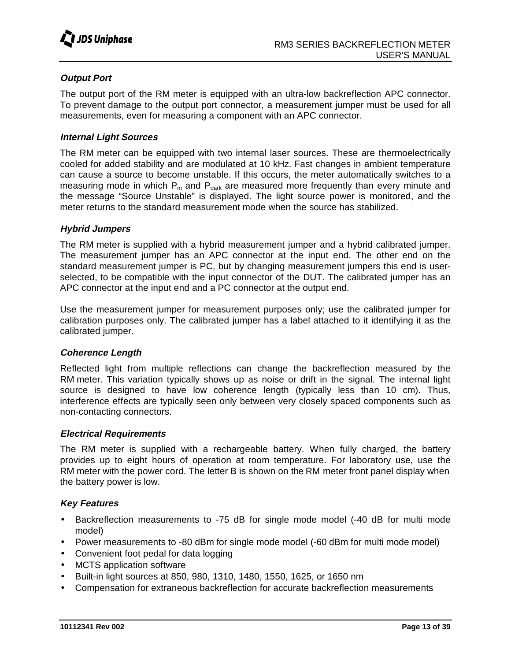

### **Output Port**

The output port of the RM meter is equipped with an ultra-low backreflection APC connector. To prevent damage to the output port connector, a measurement jumper must be used for all measurements, even for measuring a component with an APC connector.

### **Internal Light Sources**

The RM meter can be equipped with two internal laser sources. These are thermoelectrically cooled for added stability and are modulated at 10 kHz. Fast changes in ambient temperature can cause a source to become unstable. If this occurs, the meter automatically switches to a measuring mode in which  $P_{in}$  and  $P_{dark}$  are measured more frequently than every minute and the message "Source Unstable" is displayed. The light source power is monitored, and the meter returns to the standard measurement mode when the source has stabilized.

#### **Hybrid Jumpers**

The RM meter is supplied with a hybrid measurement jumper and a hybrid calibrated jumper. The measurement jumper has an APC connector at the input end. The other end on the standard measurement jumper is PC, but by changing measurement jumpers this end is userselected, to be compatible with the input connector of the DUT. The calibrated jumper has an APC connector at the input end and a PC connector at the output end.

Use the measurement jumper for measurement purposes only; use the calibrated jumper for calibration purposes only. The calibrated jumper has a label attached to it identifying it as the calibrated jumper.

### **Coherence Length**

Reflected light from multiple reflections can change the backreflection measured by the RM meter. This variation typically shows up as noise or drift in the signal. The internal light source is designed to have low coherence length (typically less than 10 cm). Thus, interference effects are typically seen only between very closely spaced components such as non-contacting connectors.

#### **Electrical Requirements**

The RM meter is supplied with a rechargeable battery. When fully charged, the battery provides up to eight hours of operation at room temperature. For laboratory use, use the RM meter with the power cord. The letter B is shown on the RM meter front panel display when the battery power is low.

### **Key Features**

- Backreflection measurements to -75 dB for single mode model (-40 dB for multi mode model)
- Power measurements to -80 dBm for single mode model (-60 dBm for multi mode model)
- Convenient foot pedal for data logging
- MCTS application software
- Built-in light sources at 850, 980, 1310, 1480, 1550, 1625, or 1650 nm
- Compensation for extraneous backreflection for accurate backreflection measurements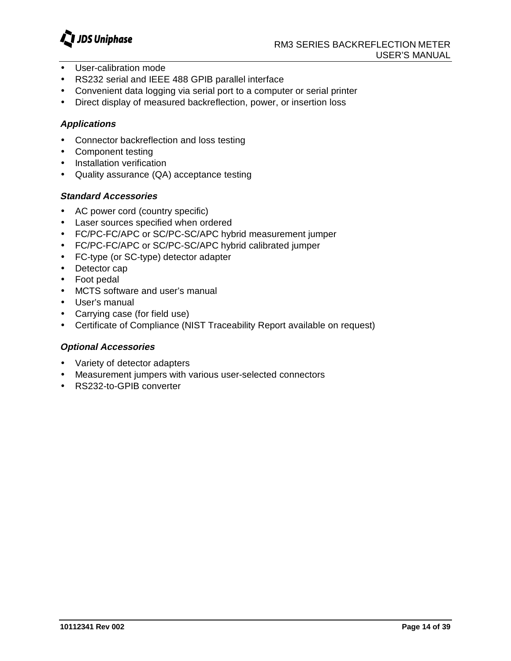

- User-calibration mode
- RS232 serial and IEEE 488 GPIB parallel interface
- Convenient data logging via serial port to a computer or serial printer
- Direct display of measured backreflection, power, or insertion loss

### **Applications**

- Connector backreflection and loss testing
- Component testing
- Installation verification
- Quality assurance (QA) acceptance testing

### **Standard Accessories**

- AC power cord (country specific)
- Laser sources specified when ordered
- FC/PC-FC/APC or SC/PC-SC/APC hybrid measurement jumper
- FC/PC-FC/APC or SC/PC-SC/APC hybrid calibrated jumper
- FC-type (or SC-type) detector adapter
- Detector cap
- Foot pedal
- MCTS software and user's manual
- User's manual
- Carrying case (for field use)
- Certificate of Compliance (NIST Traceability Report available on request)

### **Optional Accessories**

- Variety of detector adapters
- Measurement jumpers with various user-selected connectors
- RS232-to-GPIB converter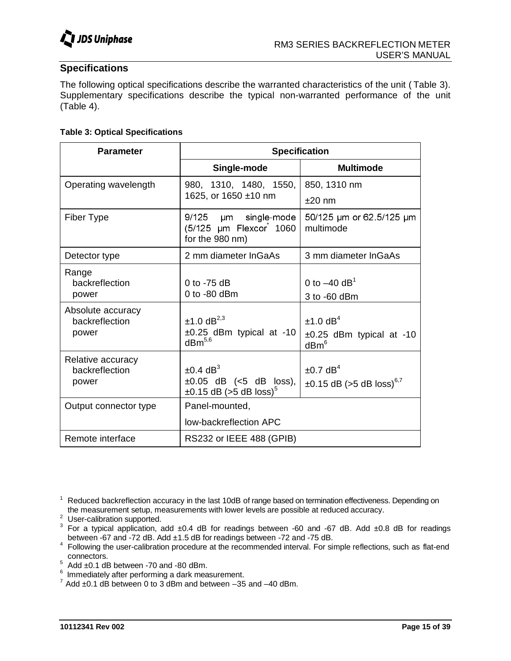

### **Specifications**

The following optical specifications describe the warranted characteristics of the unit ( Table 3). Supplementary specifications describe the typical non-warranted performance of the unit (Table 4).

### **Table 3: Optical Specifications**

| <b>Parameter</b>                                                                                                                                                                                                                                                                                                                                                                                                                                                                                                                                                                                                      |                                                                                                                                                                     | <b>Specification</b>                                                        |
|-----------------------------------------------------------------------------------------------------------------------------------------------------------------------------------------------------------------------------------------------------------------------------------------------------------------------------------------------------------------------------------------------------------------------------------------------------------------------------------------------------------------------------------------------------------------------------------------------------------------------|---------------------------------------------------------------------------------------------------------------------------------------------------------------------|-----------------------------------------------------------------------------|
| Operating wavelength                                                                                                                                                                                                                                                                                                                                                                                                                                                                                                                                                                                                  | Single-mode<br>980, 1310, 1480, 1550,                                                                                                                               | <b>Multimode</b><br>850, 1310 nm                                            |
| Fiber Type                                                                                                                                                                                                                                                                                                                                                                                                                                                                                                                                                                                                            | 1625, or 1650 ±10 nm<br>9/125 µm single-mode                                                                                                                        | $±20$ nm<br>50/125 µm or 62.5/125 µm                                        |
|                                                                                                                                                                                                                                                                                                                                                                                                                                                                                                                                                                                                                       | (5/125 µm Flexcor 1060<br>for the 980 nm)                                                                                                                           | multimode                                                                   |
| Detector type<br>Range                                                                                                                                                                                                                                                                                                                                                                                                                                                                                                                                                                                                | 2 mm diameter InGaAs                                                                                                                                                | 3 mm diameter InGaAs                                                        |
| backreflection<br>power                                                                                                                                                                                                                                                                                                                                                                                                                                                                                                                                                                                               | 0 to -75 dB<br>0 to -80 dBm                                                                                                                                         | 0 to $-40$ dB <sup>1</sup><br>3 to -60 dBm                                  |
| Absolute accuracy<br>backreflection<br>power                                                                                                                                                                                                                                                                                                                                                                                                                                                                                                                                                                          | $±1.0$ dB <sup>2,3</sup><br>$\pm 0.25$ dBm typical at -10 dBm <sup>5,6</sup>                                                                                        | $±1.0$ dB <sup>4</sup><br>$\pm 0.25$ dBm typical at -10<br>dBm <sup>6</sup> |
| Relative accuracy<br>backreflection<br>power                                                                                                                                                                                                                                                                                                                                                                                                                                                                                                                                                                          | $±0.4$ dB <sup>3</sup><br>$\pm 0.05$ dB (<5 dB loss),<br>$\pm 0.15$ dB (>5 dB loss) <sup>5</sup>                                                                    | $±0.7$ dB <sup>4</sup><br>$\pm 0.15$ dB (>5 dB loss) <sup>6,7</sup>         |
| Output connector type                                                                                                                                                                                                                                                                                                                                                                                                                                                                                                                                                                                                 | Panel-mounted,<br>low-backreflection APC                                                                                                                            |                                                                             |
| Remote interface                                                                                                                                                                                                                                                                                                                                                                                                                                                                                                                                                                                                      | RS232 or IEEE 488 (GPIB)                                                                                                                                            |                                                                             |
| <sup>1</sup> Reduced backreflection accuracy in the last 10dB of range based on termination effectiveness. Dependi<br>$2$ User-calibration supported.<br><sup>3</sup> For a typical application, add $\pm 0.4$ dB for readings between -60 and -67 dB. Add $\pm 0.8$ dB for<br><sup>4</sup> Following the user-calibration procedure at the recommended interval. For simple reflections, such as<br>connectors.<br>$5$ Add $\pm 0.1$ dB between -70 and -80 dBm.<br>$6$ Immediately after performing a dark measurement.<br>$7$ Add $\pm$ 0.1 dB between 0 to 3 dBm and between -35 and -40 dBm.<br>10112341 Rev 002 | the measurement setup, measurements with lower levels are possible at reduced accuracy.<br>between -67 and -72 dB. Add ±1.5 dB for readings between -72 and -75 dB. | Page                                                                        |
|                                                                                                                                                                                                                                                                                                                                                                                                                                                                                                                                                                                                                       |                                                                                                                                                                     |                                                                             |
|                                                                                                                                                                                                                                                                                                                                                                                                                                                                                                                                                                                                                       |                                                                                                                                                                     |                                                                             |
|                                                                                                                                                                                                                                                                                                                                                                                                                                                                                                                                                                                                                       |                                                                                                                                                                     |                                                                             |
|                                                                                                                                                                                                                                                                                                                                                                                                                                                                                                                                                                                                                       |                                                                                                                                                                     |                                                                             |
|                                                                                                                                                                                                                                                                                                                                                                                                                                                                                                                                                                                                                       |                                                                                                                                                                     |                                                                             |
|                                                                                                                                                                                                                                                                                                                                                                                                                                                                                                                                                                                                                       |                                                                                                                                                                     |                                                                             |
|                                                                                                                                                                                                                                                                                                                                                                                                                                                                                                                                                                                                                       |                                                                                                                                                                     |                                                                             |
|                                                                                                                                                                                                                                                                                                                                                                                                                                                                                                                                                                                                                       |                                                                                                                                                                     |                                                                             |
|                                                                                                                                                                                                                                                                                                                                                                                                                                                                                                                                                                                                                       |                                                                                                                                                                     |                                                                             |
|                                                                                                                                                                                                                                                                                                                                                                                                                                                                                                                                                                                                                       |                                                                                                                                                                     |                                                                             |
|                                                                                                                                                                                                                                                                                                                                                                                                                                                                                                                                                                                                                       |                                                                                                                                                                     |                                                                             |
|                                                                                                                                                                                                                                                                                                                                                                                                                                                                                                                                                                                                                       |                                                                                                                                                                     |                                                                             |
|                                                                                                                                                                                                                                                                                                                                                                                                                                                                                                                                                                                                                       |                                                                                                                                                                     |                                                                             |
|                                                                                                                                                                                                                                                                                                                                                                                                                                                                                                                                                                                                                       |                                                                                                                                                                     |                                                                             |
|                                                                                                                                                                                                                                                                                                                                                                                                                                                                                                                                                                                                                       |                                                                                                                                                                     |                                                                             |
|                                                                                                                                                                                                                                                                                                                                                                                                                                                                                                                                                                                                                       |                                                                                                                                                                     |                                                                             |
|                                                                                                                                                                                                                                                                                                                                                                                                                                                                                                                                                                                                                       |                                                                                                                                                                     |                                                                             |
|                                                                                                                                                                                                                                                                                                                                                                                                                                                                                                                                                                                                                       |                                                                                                                                                                     |                                                                             |
|                                                                                                                                                                                                                                                                                                                                                                                                                                                                                                                                                                                                                       |                                                                                                                                                                     |                                                                             |
|                                                                                                                                                                                                                                                                                                                                                                                                                                                                                                                                                                                                                       |                                                                                                                                                                     |                                                                             |
|                                                                                                                                                                                                                                                                                                                                                                                                                                                                                                                                                                                                                       |                                                                                                                                                                     |                                                                             |
|                                                                                                                                                                                                                                                                                                                                                                                                                                                                                                                                                                                                                       |                                                                                                                                                                     |                                                                             |
|                                                                                                                                                                                                                                                                                                                                                                                                                                                                                                                                                                                                                       |                                                                                                                                                                     |                                                                             |

<sup>&</sup>lt;sup>1</sup> Reduced backreflection accuracy in the last 10dB of range based on termination effectiveness. Depending on the measurement setup, measurements with lower levels are possible at reduced accuracy.

the measurement setup, measurements ministers with the possible at reduced and setup and setup and the measure<br>3 For a typical application, add ±0.4 dB for readings between -60 and -67 dB. Add ±0.8 dB for readings between -67 and -72 dB. Add ±1.5 dB for readings between -72 and -75 dB.

Following the user-calibration procedure at the recommended interval. For simple reflections, such as flat-end connectors.<br>
<sup>5</sup> Add ±0.1 dB between -70 and -80 dBm.<br>
<sup>6</sup> Immediately after performing a dark measurement.<br>
<sup>7</sup> Add ±0.1 dB between 0 to 3 dBm and between –35 and –40 dBm.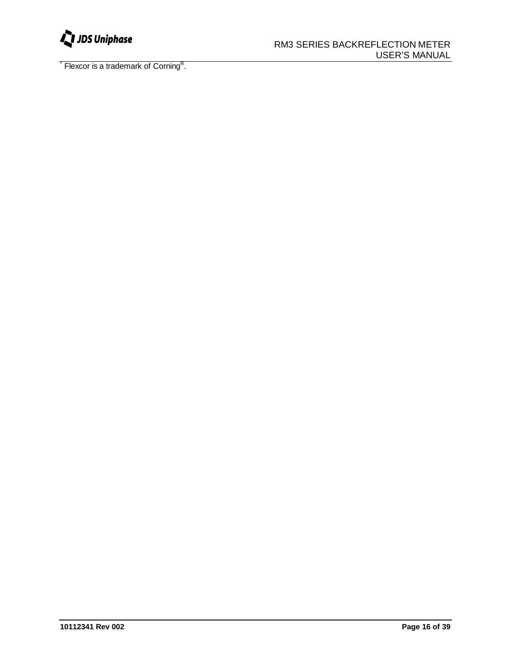

Flexcor is a trademark of Corning<sup>R</sup>.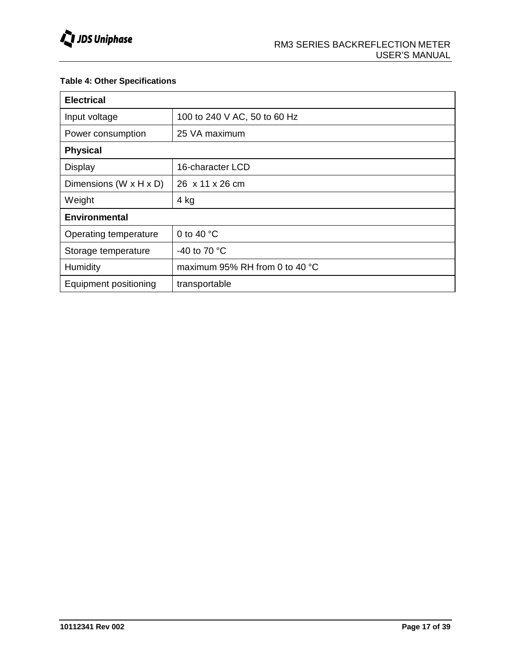### **Table 4: Other Specifications**

| <b>Electrical</b>      |                                |  |  |
|------------------------|--------------------------------|--|--|
| Input voltage          | 100 to 240 V AC, 50 to 60 Hz   |  |  |
| Power consumption      | 25 VA maximum                  |  |  |
| <b>Physical</b>        |                                |  |  |
| <b>Display</b>         | 16-character LCD               |  |  |
| Dimensions (W x H x D) | 26 x 11 x 26 cm                |  |  |
| Weight                 | 4 kg                           |  |  |
| <b>Environmental</b>   |                                |  |  |
| Operating temperature  | 0 to 40 $^{\circ}$ C           |  |  |
| Storage temperature    | -40 to 70 $\degree$ C          |  |  |
| Humidity               | maximum 95% RH from 0 to 40 °C |  |  |
| Equipment positioning  | transportable                  |  |  |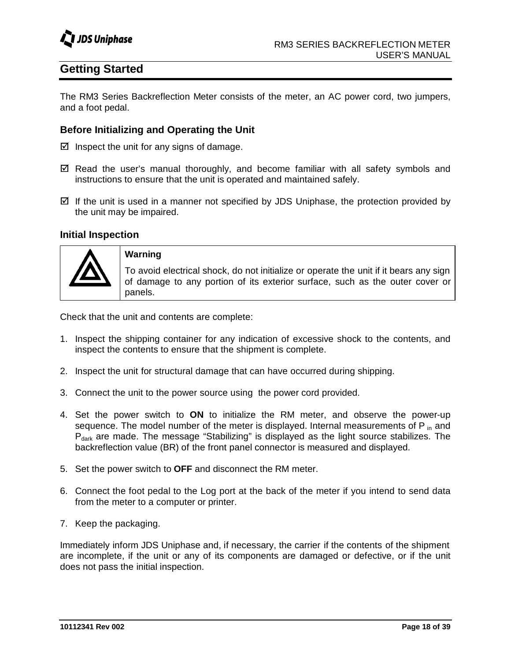

# **Getting Started**

The RM3 Series Backreflection Meter consists of the meter, an AC power cord, two jumpers, and a foot pedal.

### **Before Initializing and Operating the Unit**

 $\boxtimes$  Inspect the unit for any signs of damage.

- $\boxtimes$  Read the user's manual thoroughly, and become familiar with all safety symbols and instructions to ensure that the unit is operated and maintained safely.
- $\boxtimes$  If the unit is used in a manner not specified by JDS Uniphase, the protection provided by the unit may be impaired.

### **Initial Inspection**



**Warning**

To avoid electrical shock, do not initialize or operate the unit if it bears any sign of damage to any portion of its exterior surface, such as the outer cover or panels.

Check that the unit and contents are complete:

- 1. Inspect the shipping container for any indication of excessive shock to the contents, and inspect the contents to ensure that the shipment is complete.
- 2. Inspect the unit for structural damage that can have occurred during shipping.
- 3. Connect the unit to the power source using the power cord provided.
- 4. Set the power switch to **ON** to initialize the RM meter, and observe the power-up sequence. The model number of the meter is displayed. Internal measurements of  $P_{in}$  and P<sub>dark</sub> are made. The message "Stabilizing" is displayed as the light source stabilizes. The backreflection value (BR) of the front panel connector is measured and displayed.
- 5. Set the power switch to **OFF** and disconnect the RM meter.
- 6. Connect the foot pedal to the Log port at the back of the meter if you intend to send data from the meter to a computer or printer.
- 7. Keep the packaging.

Immediately inform JDS Uniphase and, if necessary, the carrier if the contents of the shipment are incomplete, if the unit or any of its components are damaged or defective, or if the unit does not pass the initial inspection.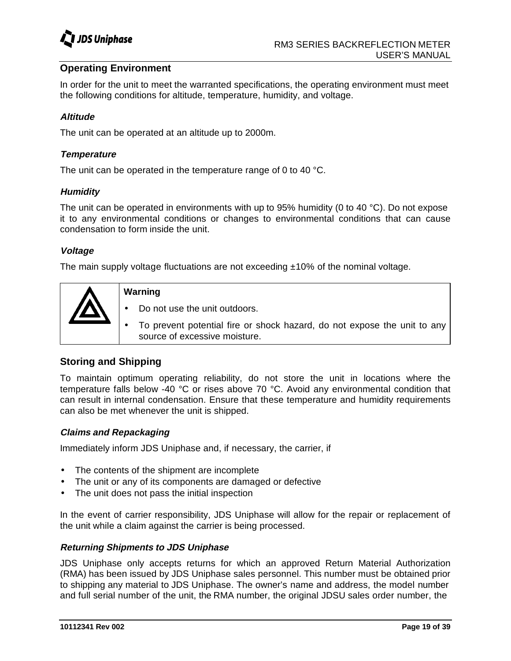

### **Operating Environment**

In order for the unit to meet the warranted specifications, the operating environment must meet the following conditions for altitude, temperature, humidity, and voltage.

### **Altitude**

The unit can be operated at an altitude up to 2000m.

### **Temperature**

The unit can be operated in the temperature range of 0 to 40 °C.

### **Humidity**

The unit can be operated in environments with up to 95% humidity (0 to 40  $^{\circ}$ C). Do not expose it to any environmental conditions or changes to environmental conditions that can cause condensation to form inside the unit.

### **Voltage**

The main supply voltage fluctuations are not exceeding  $\pm 10\%$  of the nominal voltage.



### **Warning**

- Do not use the unit outdoors.
- To prevent potential fire or shock hazard, do not expose the unit to any source of excessive moisture.

### **Storing and Shipping**

To maintain optimum operating reliability, do not store the unit in locations where the temperature falls below -40 °C or rises above 70 °C. Avoid any environmental condition that can result in internal condensation. Ensure that these temperature and humidity requirements can also be met whenever the unit is shipped.

### **Claims and Repackaging**

Immediately inform JDS Uniphase and, if necessary, the carrier, if

- The contents of the shipment are incomplete
- The unit or any of its components are damaged or defective
- The unit does not pass the initial inspection

In the event of carrier responsibility, JDS Uniphase will allow for the repair or replacement of the unit while a claim against the carrier is being processed.

### **Returning Shipments to JDS Uniphase**

JDS Uniphase only accepts returns for which an approved Return Material Authorization (RMA) has been issued by JDS Uniphase sales personnel. This number must be obtained prior to shipping any material to JDS Uniphase. The owner's name and address, the model number and full serial number of the unit, the RMA number, the original JDSU sales order number, the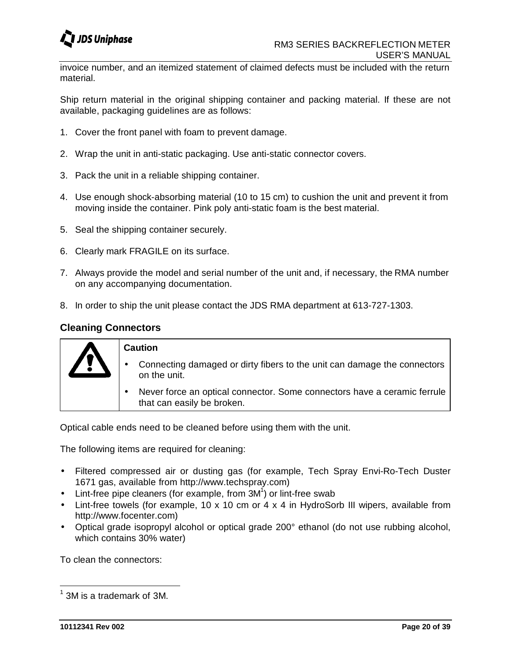

invoice number, and an itemized statement of claimed defects must be included with the return material.

Ship return material in the original shipping container and packing material. If these are not available, packaging guidelines are as follows:

- 1. Cover the front panel with foam to prevent damage.
- 2. Wrap the unit in anti-static packaging. Use anti-static connector covers.
- 3. Pack the unit in a reliable shipping container.
- 4. Use enough shock-absorbing material (10 to 15 cm) to cushion the unit and prevent it from moving inside the container. Pink poly anti-static foam is the best material.
- 5. Seal the shipping container securely.
- 6. Clearly mark FRAGILE on its surface.
- 7. Always provide the model and serial number of the unit and, if necessary, the RMA number on any accompanying documentation.
- 8. In order to ship the unit please contact the JDS RMA department at 613-727-1303.

### **Cleaning Connectors**

| <b>Caution</b>                                                                                         |  |  |
|--------------------------------------------------------------------------------------------------------|--|--|
| Connecting damaged or dirty fibers to the unit can damage the connectors<br>on the unit.               |  |  |
| Never force an optical connector. Some connectors have a ceramic ferrule<br>that can easily be broken. |  |  |

Optical cable ends need to be cleaned before using them with the unit.

The following items are required for cleaning:

- Filtered compressed air or dusting gas (for example, Tech Spray Envi-Ro-Tech Duster 1671 gas, available from http://www.techspray.com)
- $\bullet$  Lint-free pipe cleaners (for example, from  $3M<sup>1</sup>$ ) or lint-free swab
- Lint-free towels (for example, 10 x 10 cm or 4 x 4 in HydroSorb III wipers, available from http://www.focenter.com)
- Optical grade isopropyl alcohol or optical grade 200° ethanol (do not use rubbing alcohol, which contains 30% water)

To clean the connectors:

 $^1$  3M is a trademark of 3M.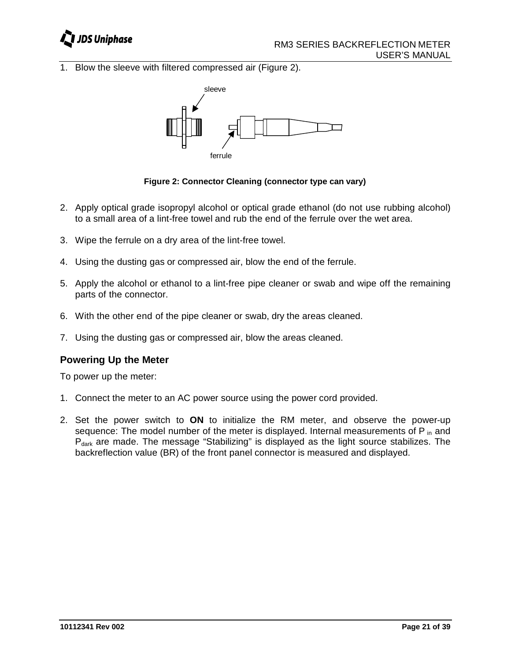

1. Blow the sleeve with filtered compressed air (Figure 2).



**Figure 2: Connector Cleaning (connector type can vary)**

- 2. Apply optical grade isopropyl alcohol or optical grade ethanol (do not use rubbing alcohol) to a small area of a lint-free towel and rub the end of the ferrule over the wet area.
- 3. Wipe the ferrule on a dry area of the lint-free towel.
- 4. Using the dusting gas or compressed air, blow the end of the ferrule.
- 5. Apply the alcohol or ethanol to a lint-free pipe cleaner or swab and wipe off the remaining parts of the connector.
- 6. With the other end of the pipe cleaner or swab, dry the areas cleaned.
- 7. Using the dusting gas or compressed air, blow the areas cleaned.

### **Powering Up the Meter**

To power up the meter:

- 1. Connect the meter to an AC power source using the power cord provided.
- 2. Set the power switch to **ON** to initialize the RM meter, and observe the power-up sequence: The model number of the meter is displayed. Internal measurements of  $P_{in}$  and  $P_{dark}$  are made. The message "Stabilizing" is displayed as the light source stabilizes. The backreflection value (BR) of the front panel connector is measured and displayed.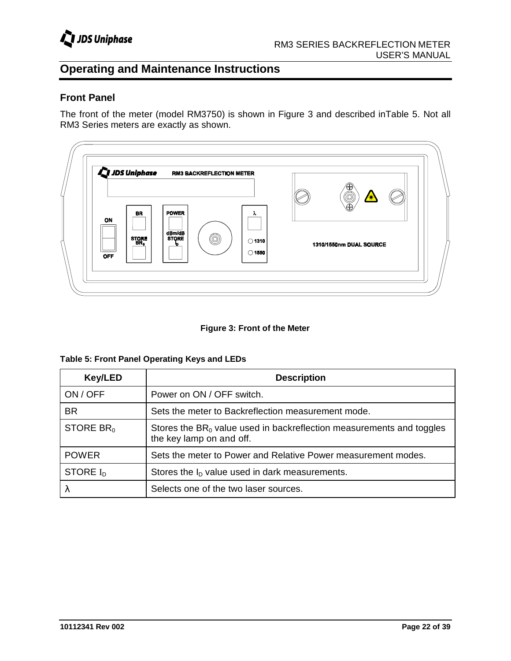

# **Operating and Maintenance Instructions**

### **Front Panel**

The front of the meter (model RM3750) is shown in Figure 3 and described inTable 5. Not all RM3 Series meters are exactly as shown.



#### **Figure 3: Front of the Meter**

| <b>Key/LED</b> | <b>Description</b>                                                                                  |
|----------------|-----------------------------------------------------------------------------------------------------|
| ON / OFF       | Power on ON / OFF switch.                                                                           |
| <b>BR</b>      | Sets the meter to Backreflection measurement mode.                                                  |
| STORE $BR0$    | Stores the $BR_0$ value used in backreflection measurements and toggles<br>the key lamp on and off. |
| <b>POWER</b>   | Sets the meter to Power and Relative Power measurement modes.                                       |
| STORE $I_D$    | Stores the $ID$ value used in dark measurements.                                                    |
| λ              | Selects one of the two laser sources.                                                               |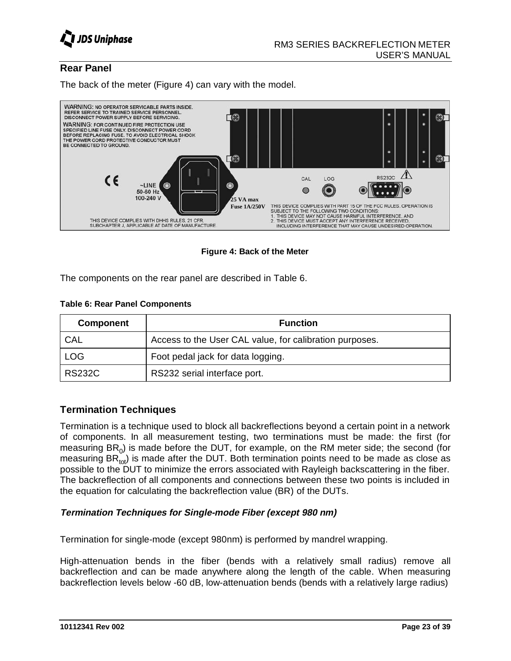

### **Rear Panel**

The back of the meter (Figure 4) can vary with the model.



**Figure 4: Back of the Meter**

The components on the rear panel are described in Table 6.

#### **Table 6: Rear Panel Components**

| <b>Component</b> | <b>Function</b>                                         |
|------------------|---------------------------------------------------------|
| CAL              | Access to the User CAL value, for calibration purposes. |
| <b>LOG</b>       | Foot pedal jack for data logging.                       |
| <b>RS232C</b>    | RS232 serial interface port.                            |

### **Termination Techniques**

Termination is a technique used to block all backreflections beyond a certain point in a network of components. In all measurement testing, two terminations must be made: the first (for measuring  $BR_0$ ) is made before the DUT, for example, on the RM meter side; the second (for measuring  $BR_{tot}$ ) is made after the DUT. Both termination points need to be made as close as possible to the DUT to minimize the errors associated with Rayleigh backscattering in the fiber. The backreflection of all components and connections between these two points is included in the equation for calculating the backreflection value (BR) of the DUTs.

### **Termination Techniques for Single-mode Fiber (except 980 nm)**

Termination for single-mode (except 980nm) is performed by mandrel wrapping.

High-attenuation bends in the fiber (bends with a relatively small radius) remove all backreflection and can be made anywhere along the length of the cable. When measuring backreflection levels below -60 dB, low-attenuation bends (bends with a relatively large radius)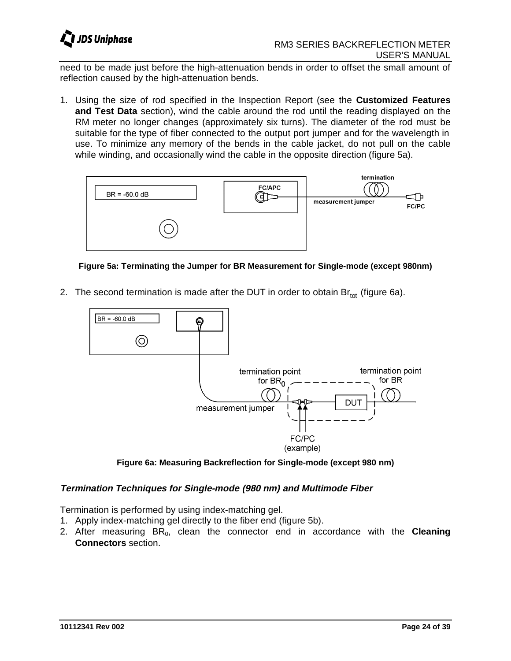

need to be made just before the high-attenuation bends in order to offset the small amount of reflection caused by the high-attenuation bends.

1. Using the size of rod specified in the Inspection Report (see the **Customized Features and Test Data** section), wind the cable around the rod until the reading displayed on the RM meter no longer changes (approximately six turns). The diameter of the rod must be suitable for the type of fiber connected to the output port jumper and for the wavelength in use. To minimize any memory of the bends in the cable jacket, do not pull on the cable while winding, and occasionally wind the cable in the opposite direction (figure 5a).



**Figure 5a: Terminating the Jumper for BR Measurement for Single-mode (except 980nm)**

2. The second termination is made after the DUT in order to obtain  $Br_{tot}$  (figure 6a).



**Figure 6a: Measuring Backreflection for Single-mode (except 980 nm)**

### **Termination Techniques for Single-mode (980 nm) and Multimode Fiber**

Termination is performed by using index-matching gel.

- 1. Apply index-matching gel directly to the fiber end (figure 5b).
- 2. After measuring BR<sub>0</sub>, clean the connector end in accordance with the **Cleaning Connectors** section.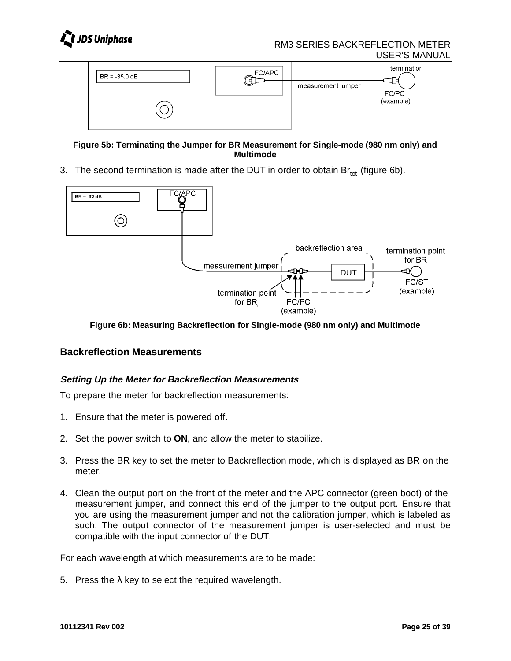



**Figure 5b: Terminating the Jumper for BR Measurement for Single-mode (980 nm only) and Multimode**

3. The second termination is made after the DUT in order to obtain  $\text{Br}_{tot}$  (figure 6b).



**Figure 6b: Measuring Backreflection for Single-mode (980 nm only) and Multimode**

### **Backreflection Measurements**

### **Setting Up the Meter for Backreflection Measurements**

To prepare the meter for backreflection measurements:

- 1. Ensure that the meter is powered off.
- 2. Set the power switch to **ON**, and allow the meter to stabilize.
- 3. Press the BR key to set the meter to Backreflection mode, which is displayed as BR on the meter.
- 4. Clean the output port on the front of the meter and the APC connector (green boot) of the measurement jumper, and connect this end of the jumper to the output port. Ensure that you are using the measurement jumper and not the calibration jumper, which is labeled as such. The output connector of the measurement jumper is user-selected and must be compatible with the input connector of the DUT.

For each wavelength at which measurements are to be made:

5. Press the  $\lambda$  key to select the required wavelength.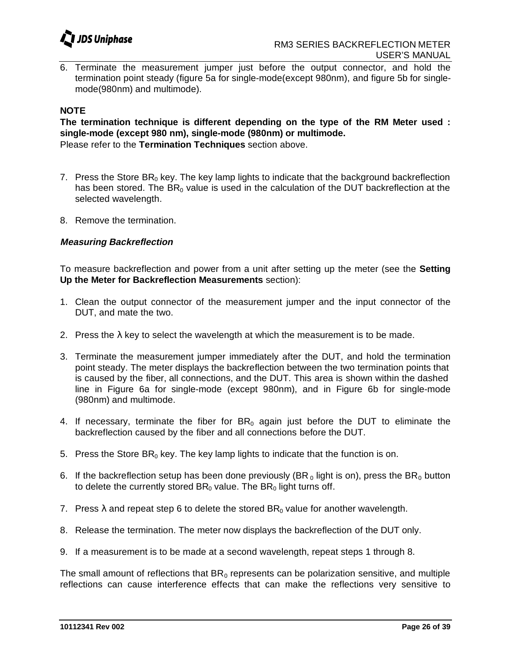

6. Terminate the measurement jumper just before the output connector, and hold the termination point steady (figure 5a for single-mode(except 980nm), and figure 5b for singlemode(980nm) and multimode).

#### **NOTE**

**The termination technique is different depending on the type of the RM Meter used : single-mode (except 980 nm), single-mode (980nm) or multimode.** Please refer to the **Termination Techniques** section above.

- 7. Press the Store  $BR_0$  key. The key lamp lights to indicate that the background backreflection has been stored. The  $BR<sub>0</sub>$  value is used in the calculation of the DUT backreflection at the selected wavelength.
- 8. Remove the termination.

### **Measuring Backreflection**

To measure backreflection and power from a unit after setting up the meter (see the **Setting Up the Meter for Backreflection Measurements** section):

- 1. Clean the output connector of the measurement jumper and the input connector of the DUT, and mate the two.
- 2. Press the  $\lambda$  key to select the wavelength at which the measurement is to be made.
- 3. Terminate the measurement jumper immediately after the DUT, and hold the termination point steady. The meter displays the backreflection between the two termination points that is caused by the fiber, all connections, and the DUT. This area is shown within the dashed line in Figure 6a for single-mode (except 980nm), and in Figure 6b for single-mode (980nm) and multimode.
- 4. If necessary, terminate the fiber for  $BR_0$  again just before the DUT to eliminate the backreflection caused by the fiber and all connections before the DUT.
- 5. Press the Store  $BR_0$  key. The key lamp lights to indicate that the function is on.
- 6. If the backreflection setup has been done previously (BR<sub>0</sub> light is on), press the BR<sub>0</sub> button to delete the currently stored  $BR_0$  value. The  $BR_0$  light turns off.
- 7. Press  $\lambda$  and repeat step 6 to delete the stored BR<sub>0</sub> value for another wavelength.
- 8. Release the termination. The meter now displays the backreflection of the DUT only.
- 9. If a measurement is to be made at a second wavelength, repeat steps 1 through 8.

The small amount of reflections that  $BR_0$  represents can be polarization sensitive, and multiple reflections can cause interference effects that can make the reflections very sensitive to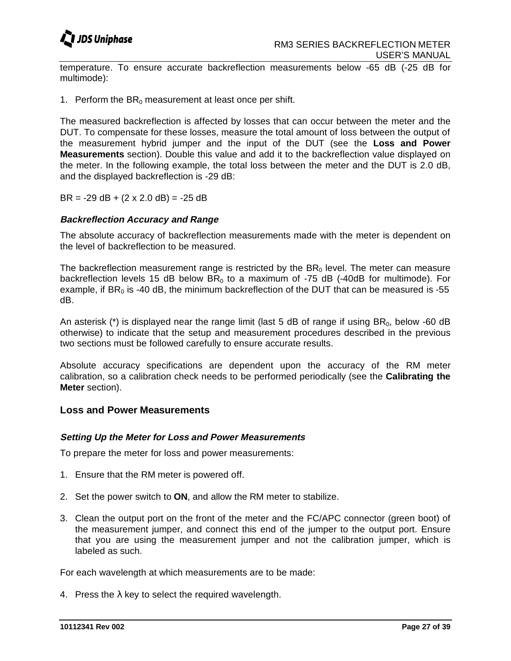

temperature. To ensure accurate backreflection measurements below -65 dB (-25 dB for multimode):

1. Perform the  $BR_0$  measurement at least once per shift.

The measured backreflection is affected by losses that can occur between the meter and the DUT. To compensate for these losses, measure the total amount of loss between the output of the measurement hybrid jumper and the input of the DUT (see the **Loss and Power Measurements** section). Double this value and add it to the backreflection value displayed on the meter. In the following example, the total loss between the meter and the DUT is 2.0 dB, and the displayed backreflection is -29 dB:

 $BR = -29$  dB + (2 x 2.0 dB) =  $-25$  dB

### **Backreflection Accuracy and Range**

The absolute accuracy of backreflection measurements made with the meter is dependent on the level of backreflection to be measured.

The backreflection measurement range is restricted by the  $BR<sub>0</sub>$  level. The meter can measure backreflection levels 15 dB below  $BR_0$  to a maximum of -75 dB (-40dB for multimode). For example, if  $BR<sub>0</sub>$  is -40 dB, the minimum backreflection of the DUT that can be measured is -55 dB.

An asterisk (\*) is displayed near the range limit (last 5 dB of range if using  $BR_0$ , below -60 dB otherwise) to indicate that the setup and measurement procedures described in the previous two sections must be followed carefully to ensure accurate results.

Absolute accuracy specifications are dependent upon the accuracy of the RM meter calibration, so a calibration check needs to be performed periodically (see the **Calibrating the Meter** section).

### **Loss and Power Measurements**

### **Setting Up the Meter for Loss and Power Measurements**

To prepare the meter for loss and power measurements:

- 1. Ensure that the RM meter is powered off.
- 2. Set the power switch to **ON**, and allow the RM meter to stabilize.
- 3. Clean the output port on the front of the meter and the FC/APC connector (green boot) of the measurement jumper, and connect this end of the jumper to the output port. Ensure that you are using the measurement jumper and not the calibration jumper, which is labeled as such.

For each wavelength at which measurements are to be made:

4. Press the  $\lambda$  key to select the required wavelength.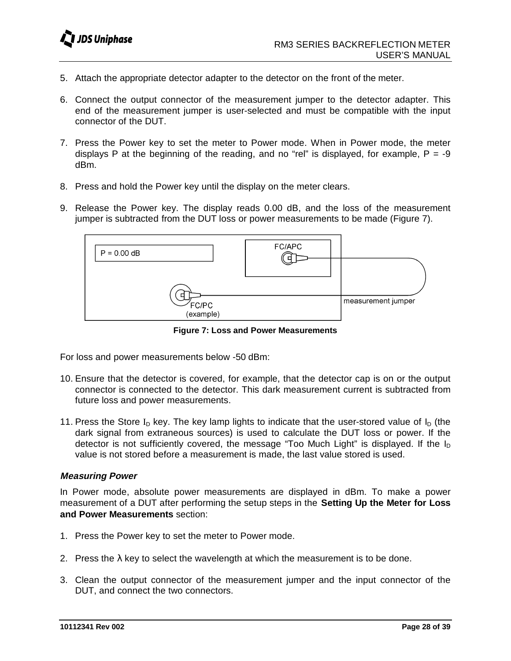- 5. Attach the appropriate detector adapter to the detector on the front of the meter.
- 6. Connect the output connector of the measurement jumper to the detector adapter. This end of the measurement jumper is user-selected and must be compatible with the input connector of the DUT.
- 7. Press the Power key to set the meter to Power mode. When in Power mode, the meter displays P at the beginning of the reading, and no "rel" is displayed, for example,  $P = -9$ dBm.
- 8. Press and hold the Power key until the display on the meter clears.
- 9. Release the Power key. The display reads 0.00 dB, and the loss of the measurement jumper is subtracted from the DUT loss or power measurements to be made (Figure 7).



**Figure 7: Loss and Power Measurements**

For loss and power measurements below -50 dBm:

- 10. Ensure that the detector is covered, for example, that the detector cap is on or the output connector is connected to the detector. This dark measurement current is subtracted from future loss and power measurements.
- 11. Press the Store  $I_D$  key. The key lamp lights to indicate that the user-stored value of  $I_D$  (the dark signal from extraneous sources) is used to calculate the DUT loss or power. If the detector is not sufficiently covered, the message "Too Much Light" is displayed. If the  $I_D$ value is not stored before a measurement is made, the last value stored is used.

### **Measuring Power**

In Power mode, absolute power measurements are displayed in dBm. To make a power measurement of a DUT after performing the setup steps in the **Setting Up the Meter for Loss and Power Measurements** section:

- 1. Press the Power key to set the meter to Power mode.
- 2. Press the  $\lambda$  key to select the wavelength at which the measurement is to be done.
- 3. Clean the output connector of the measurement jumper and the input connector of the DUT, and connect the two connectors.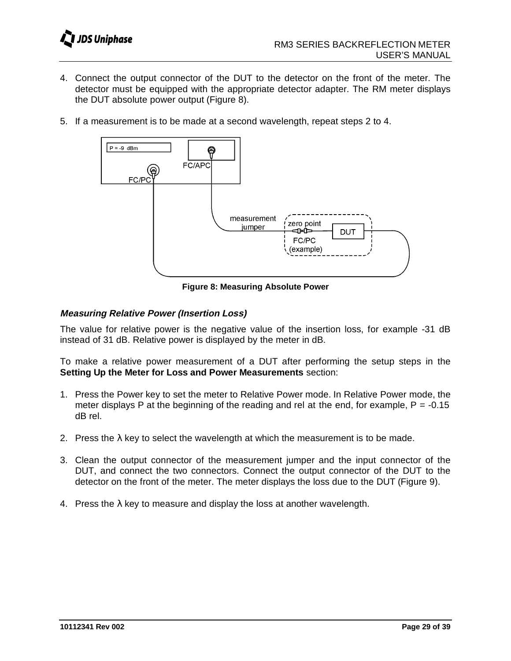- 4. Connect the output connector of the DUT to the detector on the front of the meter. The detector must be equipped with the appropriate detector adapter. The RM meter displays the DUT absolute power output (Figure 8).
- 5. If a measurement is to be made at a second wavelength, repeat steps 2 to 4.



**Figure 8: Measuring Absolute Power**

### **Measuring Relative Power (Insertion Loss)**

The value for relative power is the negative value of the insertion loss, for example -31 dB instead of 31 dB. Relative power is displayed by the meter in dB.

To make a relative power measurement of a DUT after performing the setup steps in the **Setting Up the Meter for Loss and Power Measurements** section:

- 1. Press the Power key to set the meter to Relative Power mode. In Relative Power mode, the meter displays P at the beginning of the reading and rel at the end, for example,  $P = -0.15$ dB rel.
- 2. Press the  $\lambda$  key to select the wavelength at which the measurement is to be made.
- 3. Clean the output connector of the measurement jumper and the input connector of the DUT, and connect the two connectors. Connect the output connector of the DUT to the detector on the front of the meter. The meter displays the loss due to the DUT (Figure 9).
- 4. Press the  $\lambda$  key to measure and display the loss at another wavelength.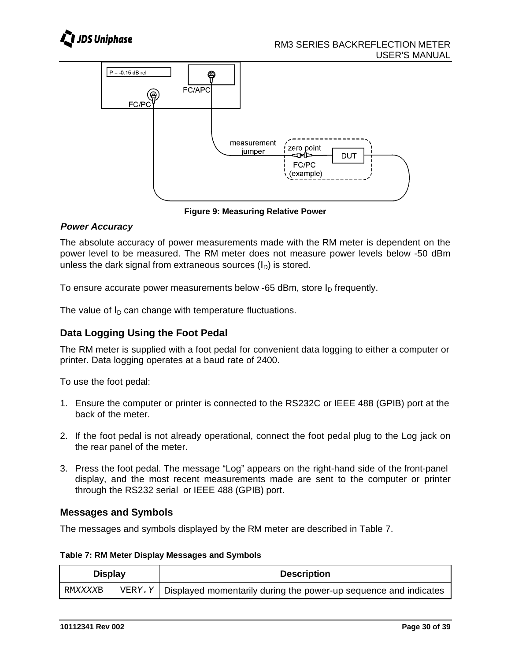



**Figure 9: Measuring Relative Power**

### **Power Accuracy**

The absolute accuracy of power measurements made with the RM meter is dependent on the power level to be measured. The RM meter does not measure power levels below -50 dBm unless the dark signal from extraneous sources  $(I_D)$  is stored.

To ensure accurate power measurements below -65 dBm, store  $I<sub>D</sub>$  frequently.

The value of  $I_D$  can change with temperature fluctuations.

### **Data Logging Using the Foot Pedal**

The RM meter is supplied with a foot pedal for convenient data logging to either a computer or printer. Data logging operates at a baud rate of 2400.

To use the foot pedal:

- 1. Ensure the computer or printer is connected to the RS232C or IEEE 488 (GPIB) port at the back of the meter.
- 2. If the foot pedal is not already operational, connect the foot pedal plug to the Log jack on the rear panel of the meter.
- 3. Press the foot pedal. The message "Log" appears on the right-hand side of the front-panel display, and the most recent measurements made are sent to the computer or printer through the RS232 serial or IEEE 488 (GPIB) port.

### **Messages and Symbols**

The messages and symbols displayed by the RM meter are described in Table 7.

### **Table 7: RM Meter Display Messages and Symbols**

| <b>Display</b> |  | <b>Description</b>                                                              |
|----------------|--|---------------------------------------------------------------------------------|
| RMXXXXB        |  | $VERY \cdot Y$ Displayed momentarily during the power-up sequence and indicates |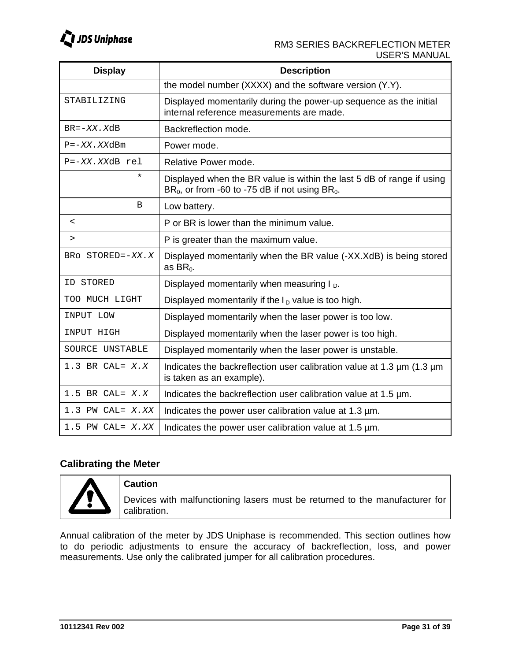

| <b>Display</b>           | <b>Description</b>                                                                                                          |  |
|--------------------------|-----------------------------------------------------------------------------------------------------------------------------|--|
|                          | the model number (XXXX) and the software version (Y.Y).                                                                     |  |
| STABILIZING              | Displayed momentarily during the power-up sequence as the initial<br>internal reference measurements are made.              |  |
| $BR = -XX$ . $XdB$       | Backreflection mode.                                                                                                        |  |
| $P = -XX$ . XXdBm        | Power mode.                                                                                                                 |  |
| $P = -XX$ . XXdB rel     | Relative Power mode.                                                                                                        |  |
| $^\star$                 | Displayed when the BR value is within the last 5 dB of range if using<br>$BR0$ , or from -60 to -75 dB if not using $BR0$ . |  |
| $\mathbf B$              | Low battery.                                                                                                                |  |
| $\overline{\phantom{0}}$ | P or BR is lower than the minimum value.                                                                                    |  |
| $\geq$                   | P is greater than the maximum value.                                                                                        |  |
| BRO STORED=-XX.X         | Displayed momentarily when the BR value (-XX.XdB) is being stored<br>as $BR0$ .                                             |  |
| ID STORED                | Displayed momentarily when measuring $I_{D}$ .                                                                              |  |
| TOO MUCH LIGHT           | Displayed momentarily if the $I_D$ value is too high.                                                                       |  |
| INPUT LOW                | Displayed momentarily when the laser power is too low.                                                                      |  |
| INPUT HIGH               | Displayed momentarily when the laser power is too high.                                                                     |  |
| SOURCE UNSTABLE          | Displayed momentarily when the laser power is unstable.                                                                     |  |
| 1.3 BR CAL= $X.X$        | Indicates the backreflection user calibration value at 1.3 $\mu$ m (1.3 $\mu$ m<br>is taken as an example).                 |  |
| $1.5$ BR CAL= $X.X$      | Indicates the backreflection user calibration value at 1.5 µm.                                                              |  |
| $1.3$ PW CAL= $X$ . XX   | Indicates the power user calibration value at 1.3 µm.                                                                       |  |
| $1.5$ PW CAL= $X$ . XX   | Indicates the power user calibration value at 1.5 µm.                                                                       |  |

### **Calibrating the Meter**



### **Caution**

Devices with malfunctioning lasers must be returned to the manufacturer for calibration.

Annual calibration of the meter by JDS Uniphase is recommended. This section outlines how to do periodic adjustments to ensure the accuracy of backreflection, loss, and power measurements. Use only the calibrated jumper for all calibration procedures.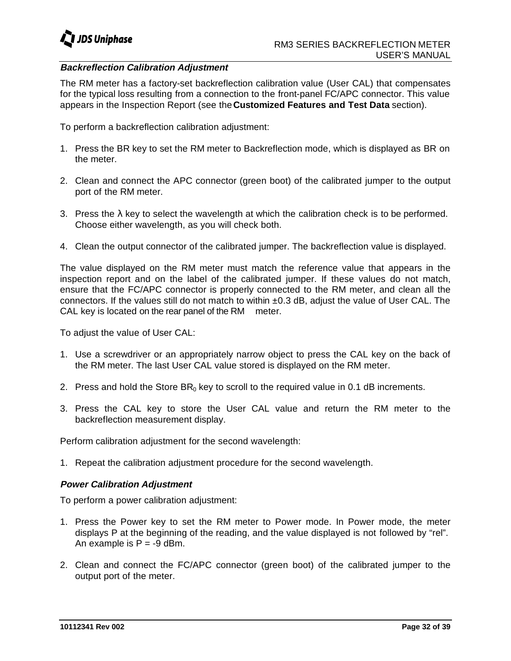

### **Backreflection Calibration Adjustment**

The RM meter has a factory-set backreflection calibration value (User CAL) that compensates for the typical loss resulting from a connection to the front-panel FC/APC connector. This value appears in the Inspection Report (see the **Customized Features and Test Data** section).

To perform a backreflection calibration adjustment:

- 1. Press the BR key to set the RM meter to Backreflection mode, which is displayed as BR on the meter.
- 2. Clean and connect the APC connector (green boot) of the calibrated jumper to the output port of the RM meter.
- 3. Press the  $\lambda$  key to select the wavelength at which the calibration check is to be performed. Choose either wavelength, as you will check both.
- 4. Clean the output connector of the calibrated jumper. The backreflection value is displayed.

The value displayed on the RM meter must match the reference value that appears in the inspection report and on the label of the calibrated jumper. If these values do not match, ensure that the FC/APC connector is properly connected to the RM meter, and clean all the connectors. If the values still do not match to within ±0.3 dB, adjust the value of User CAL. The CAL key is located on the rear panel of the RM meter.

To adjust the value of User CAL:

- 1. Use a screwdriver or an appropriately narrow object to press the CAL key on the back of the RM meter. The last User CAL value stored is displayed on the RM meter.
- 2. Press and hold the Store  $BR_0$  key to scroll to the required value in 0.1 dB increments.
- 3. Press the CAL key to store the User CAL value and return the RM meter to the backreflection measurement display.

Perform calibration adjustment for the second wavelength:

1. Repeat the calibration adjustment procedure for the second wavelength.

### **Power Calibration Adjustment**

To perform a power calibration adjustment:

- 1. Press the Power key to set the RM meter to Power mode. In Power mode, the meter displays P at the beginning of the reading, and the value displayed is not followed by "rel". An example is  $P = -9$  dBm.
- 2. Clean and connect the FC/APC connector (green boot) of the calibrated jumper to the output port of the meter.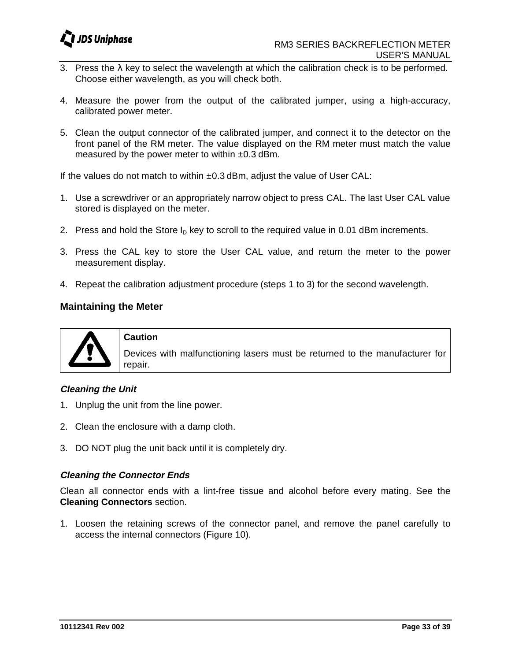

- 3. Press the  $\lambda$  key to select the wavelength at which the calibration check is to be performed. Choose either wavelength, as you will check both.
- 4. Measure the power from the output of the calibrated jumper, using a high-accuracy, calibrated power meter.
- 5. Clean the output connector of the calibrated jumper, and connect it to the detector on the front panel of the RM meter. The value displayed on the RM meter must match the value measured by the power meter to within  $\pm 0.3$  dBm.

If the values do not match to within ±0.3 dBm, adjust the value of User CAL:

- 1. Use a screwdriver or an appropriately narrow object to press CAL. The last User CAL value stored is displayed on the meter.
- 2. Press and hold the Store  $I<sub>D</sub>$  key to scroll to the required value in 0.01 dBm increments.
- 3. Press the CAL key to store the User CAL value, and return the meter to the power measurement display.
- 4. Repeat the calibration adjustment procedure (steps 1 to 3) for the second wavelength.

### **Maintaining the Meter**



#### **Caution**

Devices with malfunctioning lasers must be returned to the manufacturer for repair.

### **Cleaning the Unit**

- 1. Unplug the unit from the line power.
- 2. Clean the enclosure with a damp cloth.
- 3. DO NOT plug the unit back until it is completely dry.

### **Cleaning the Connector Ends**

Clean all connector ends with a lint-free tissue and alcohol before every mating. See the **Cleaning Connectors** section.

1. Loosen the retaining screws of the connector panel, and remove the panel carefully to access the internal connectors (Figure 10).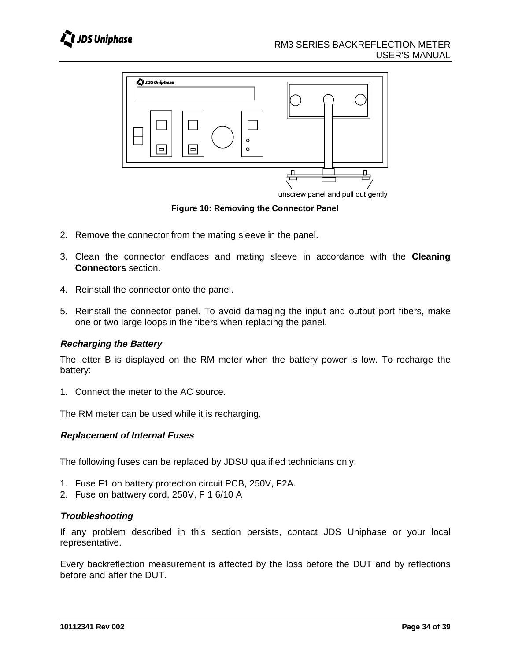



**Figure 10: Removing the Connector Panel**

- 2. Remove the connector from the mating sleeve in the panel.
- 3. Clean the connector endfaces and mating sleeve in accordance with the **Cleaning Connectors** section.
- 4. Reinstall the connector onto the panel.
- 5. Reinstall the connector panel. To avoid damaging the input and output port fibers, make one or two large loops in the fibers when replacing the panel.

### **Recharging the Battery**

The letter B is displayed on the RM meter when the battery power is low. To recharge the battery:

1. Connect the meter to the AC source.

The RM meter can be used while it is recharging.

### **Replacement of Internal Fuses**

The following fuses can be replaced by JDSU qualified technicians only:

- 1. Fuse F1 on battery protection circuit PCB, 250V, F2A.
- 2. Fuse on battwery cord, 250V, F 1 6/10 A

### **Troubleshooting**

If any problem described in this section persists, contact JDS Uniphase or your local representative.

Every backreflection measurement is affected by the loss before the DUT and by reflections before and after the DUT.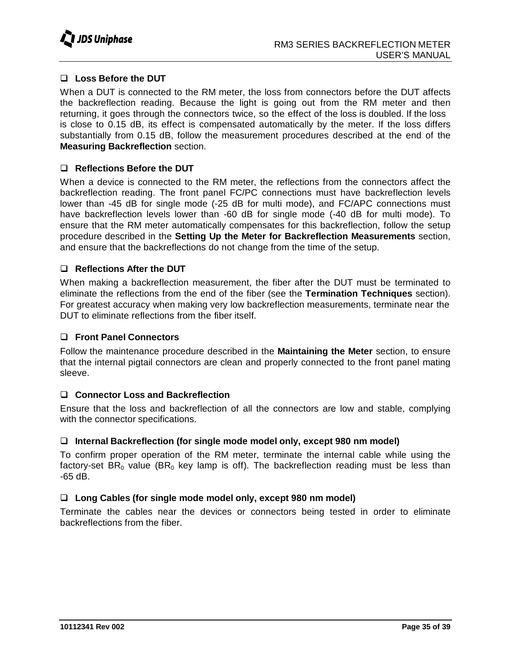

### **Loss Before the DUT**

When a DUT is connected to the RM meter, the loss from connectors before the DUT affects the backreflection reading. Because the light is going out from the RM meter and then returning, it goes through the connectors twice, so the effect of the loss is doubled. If the loss is close to 0.15 dB, its effect is compensated automatically by the meter. If the loss differs substantially from 0.15 dB, follow the measurement procedures described at the end of the **Measuring Backreflection** section.

### **Reflections Before the DUT**

When a device is connected to the RM meter, the reflections from the connectors affect the backreflection reading. The front panel FC/PC connections must have backreflection levels lower than -45 dB for single mode (-25 dB for multi mode), and FC/APC connections must have backreflection levels lower than -60 dB for single mode (-40 dB for multi mode). To ensure that the RM meter automatically compensates for this backreflection, follow the setup procedure described in the **Setting Up the Meter for Backreflection Measurements** section, and ensure that the backreflections do not change from the time of the setup.

### **Reflections After the DUT**

When making a backreflection measurement, the fiber after the DUT must be terminated to eliminate the reflections from the end of the fiber (see the **Termination Techniques** section). For greatest accuracy when making very low backreflection measurements, terminate near the DUT to eliminate reflections from the fiber itself.

### **Front Panel Connectors**

Follow the maintenance procedure described in the **Maintaining the Meter** section, to ensure that the internal pigtail connectors are clean and properly connected to the front panel mating sleeve.

### **Connector Loss and Backreflection**

Ensure that the loss and backreflection of all the connectors are low and stable, complying with the connector specifications.

### **Internal Backreflection (for single mode model only, except 980 nm model)**

To confirm proper operation of the RM meter, terminate the internal cable while using the factory-set  $BR_0$  value ( $BR_0$  key lamp is off). The backreflection reading must be less than -65 dB.

### **Long Cables (for single mode model only, except 980 nm model)**

Terminate the cables near the devices or connectors being tested in order to eliminate backreflections from the fiber.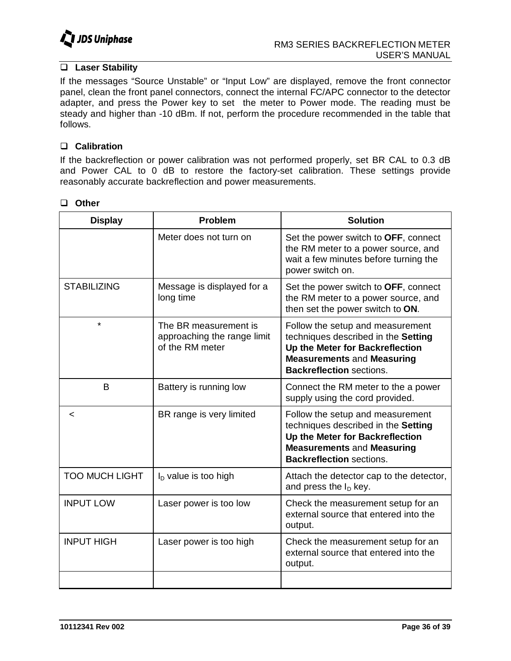

### **Laser Stability**

If the messages "Source Unstable" or "Input Low" are displayed, remove the front connector panel, clean the front panel connectors, connect the internal FC/APC connector to the detector adapter, and press the Power key to set the meter to Power mode. The reading must be steady and higher than -10 dBm. If not, perform the procedure recommended in the table that follows.

### **Calibration**

If the backreflection or power calibration was not performed properly, set BR CAL to 0.3 dB and Power CAL to 0 dB to restore the factory-set calibration. These settings provide reasonably accurate backreflection and power measurements.

| Other |
|-------|
|       |

| <b>Display</b>        | <b>Problem</b>                                                          | <b>Solution</b>                                                                                                                                                                    |
|-----------------------|-------------------------------------------------------------------------|------------------------------------------------------------------------------------------------------------------------------------------------------------------------------------|
|                       | Meter does not turn on                                                  | Set the power switch to OFF, connect<br>the RM meter to a power source, and<br>wait a few minutes before turning the<br>power switch on.                                           |
| <b>STABILIZING</b>    | Message is displayed for a<br>long time                                 | Set the power switch to OFF, connect<br>the RM meter to a power source, and<br>then set the power switch to ON.                                                                    |
| $\star$               | The BR measurement is<br>approaching the range limit<br>of the RM meter | Follow the setup and measurement<br>techniques described in the Setting<br>Up the Meter for Backreflection<br><b>Measurements and Measuring</b><br><b>Backreflection sections.</b> |
| B                     | Battery is running low                                                  | Connect the RM meter to the a power<br>supply using the cord provided.                                                                                                             |
| <                     | BR range is very limited                                                | Follow the setup and measurement<br>techniques described in the Setting<br>Up the Meter for Backreflection<br><b>Measurements and Measuring</b><br><b>Backreflection sections.</b> |
| <b>TOO MUCH LIGHT</b> | $ID$ value is too high                                                  | Attach the detector cap to the detector,<br>and press the $ID$ key.                                                                                                                |
| <b>INPUT LOW</b>      | Laser power is too low                                                  | Check the measurement setup for an<br>external source that entered into the<br>output.                                                                                             |
| <b>INPUT HIGH</b>     | Laser power is too high                                                 | Check the measurement setup for an<br>external source that entered into the<br>output.                                                                                             |
|                       |                                                                         |                                                                                                                                                                                    |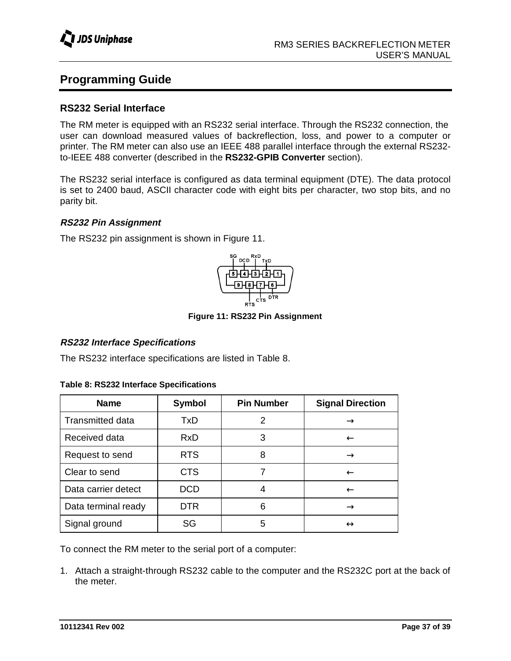# **Programming Guide**

### **RS232 Serial Interface**

The RM meter is equipped with an RS232 serial interface. Through the RS232 connection, the user can download measured values of backreflection, loss, and power to a computer or printer. The RM meter can also use an IEEE 488 parallel interface through the external RS232 to-IEEE 488 converter (described in the **RS232-GPIB Converter** section).

The RS232 serial interface is configured as data terminal equipment (DTE). The data protocol is set to 2400 baud, ASCII character code with eight bits per character, two stop bits, and no parity bit.

### **RS232 Pin Assignment**

The RS232 pin assignment is shown in Figure 11.



**Figure 11: RS232 Pin Assignment**

### **RS232 Interface Specifications**

The RS232 interface specifications are listed in Table 8.

|  |  | Table 8: RS232 Interface Specifications |
|--|--|-----------------------------------------|
|--|--|-----------------------------------------|

| <b>Name</b>             | Symbol     | <b>Pin Number</b> | <b>Signal Direction</b> |
|-------------------------|------------|-------------------|-------------------------|
| <b>Transmitted data</b> | TxD        | 2                 | $\rightarrow$           |
| Received data           | <b>RxD</b> | 3                 | $\leftarrow$            |
| Request to send         | <b>RTS</b> | 8                 | $\rightarrow$           |
| Clear to send           | <b>CTS</b> |                   | $\leftarrow$            |
| Data carrier detect     | <b>DCD</b> |                   | $\leftarrow$            |
| Data terminal ready     | <b>DTR</b> | 6                 | $\rightarrow$           |
| Signal ground           | SG         | 5                 | $\leftrightarrow$       |

To connect the RM meter to the serial port of a computer:

1. Attach a straight-through RS232 cable to the computer and the RS232C port at the back of the meter.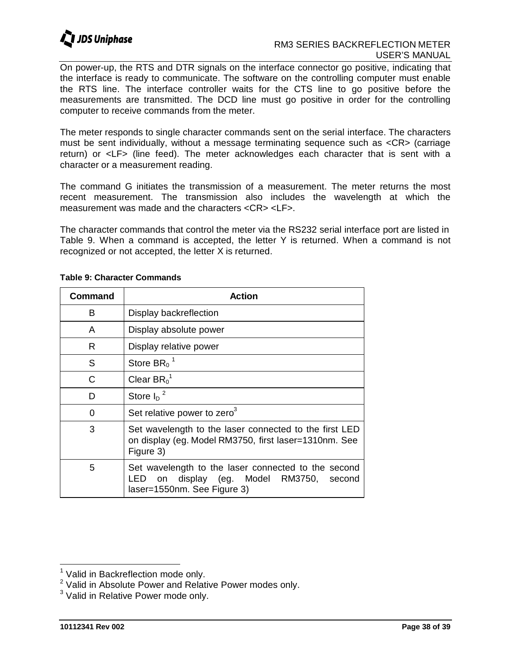

### RM3 SERIES BACKREFLECTION METER USER'S MANUAL

On power-up, the RTS and DTR signals on the interface connector go positive, indicating that the interface is ready to communicate. The software on the controlling computer must enable the RTS line. The interface controller waits for the CTS line to go positive before the measurements are transmitted. The DCD line must go positive in order for the controlling computer to receive commands from the meter.

The meter responds to single character commands sent on the serial interface. The characters must be sent individually, without a message terminating sequence such as <CR> (carriage return) or <LF> (line feed). The meter acknowledges each character that is sent with a character or a measurement reading.

The command G initiates the transmission of a measurement. The meter returns the most recent measurement. The transmission also includes the wavelength at which the measurement was made and the characters <CR> <LF>.

The character commands that control the meter via the RS232 serial interface port are listed in Table 9. When a command is accepted, the letter Y is returned. When a command is not recognized or not accepted, the letter X is returned.

| <b>Command</b> | <b>Action</b>                                                                                                                        |
|----------------|--------------------------------------------------------------------------------------------------------------------------------------|
| B              | Display backreflection                                                                                                               |
| A              | Display absolute power                                                                                                               |
| R              | Display relative power                                                                                                               |
| S              | Store $BR_0$ <sup>1</sup>                                                                                                            |
| С              | Clear $BR_0^1$                                                                                                                       |
| D              | Store $I_{\text{D}}^2$                                                                                                               |
| O              | Set relative power to zero <sup>3</sup>                                                                                              |
| 3              | Set wavelength to the laser connected to the first LED<br>on display (eg. Model RM3750, first laser=1310nm. See<br>Figure 3)         |
| 5              | Set wavelength to the laser connected to the second<br>on display (eg. Model RM3750,<br>LED<br>second<br>laser=1550nm. See Figure 3) |

### **Table 9: Character Commands**

<sup>&</sup>lt;sup>1</sup> Valid in Backreflection mode only.

<sup>&</sup>lt;sup>2</sup> Valid in Absolute Power and Relative Power modes only.

 $3$  Valid in Relative Power mode only.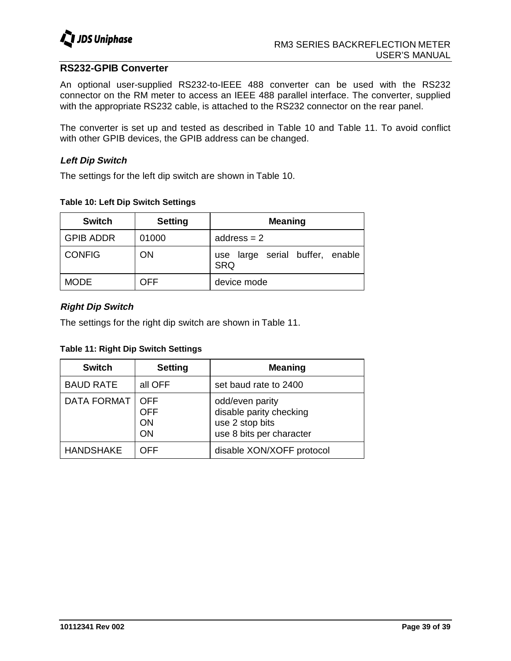

### **RS232-GPIB Converter**

An optional user-supplied RS232-to-IEEE 488 converter can be used with the RS232 connector on the RM meter to access an IEEE 488 parallel interface. The converter, supplied with the appropriate RS232 cable, is attached to the RS232 connector on the rear panel.

The converter is set up and tested as described in Table 10 and Table 11. To avoid conflict with other GPIB devices, the GPIB address can be changed.

### **Left Dip Switch**

The settings for the left dip switch are shown in Table 10.

#### **Table 10: Left Dip Switch Settings**

| <b>Switch</b>    | <b>Setting</b> | <b>Meaning</b>                                |
|------------------|----------------|-----------------------------------------------|
| <b>GPIB ADDR</b> | 01000          | address $= 2$                                 |
| <b>CONFIG</b>    | ON             | use large serial buffer, enable<br><b>SRQ</b> |
| <b>MODE</b>      | OFF            | device mode                                   |

### **Right Dip Switch**

The settings for the right dip switch are shown in Table 11.

**Table 11: Right Dip Switch Settings**

| <b>Switch</b>      | <b>Setting</b>                | <b>Meaning</b>                                                                            |
|--------------------|-------------------------------|-------------------------------------------------------------------------------------------|
| <b>BAUD RATE</b>   | all OFF                       | set baud rate to 2400                                                                     |
| <b>DATA FORMAT</b> | <b>OFF</b><br>OFF<br>ON<br>ON | odd/even parity<br>disable parity checking<br>use 2 stop bits<br>use 8 bits per character |
| <b>HANDSHAKE</b>   | OFF                           | disable XON/XOFF protocol                                                                 |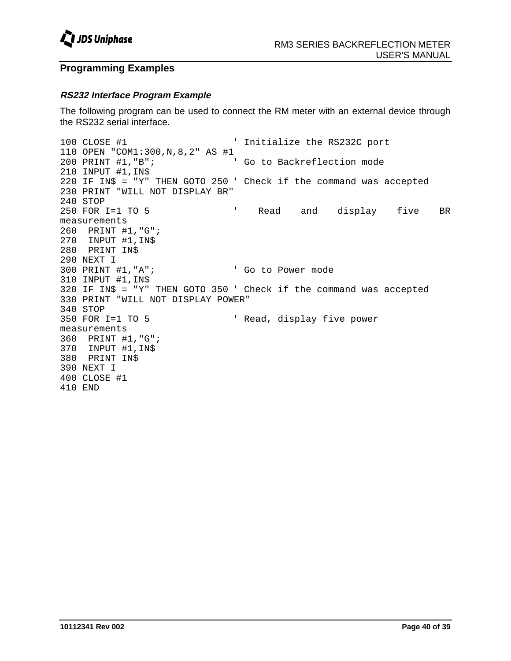

### **Programming Examples**

### **RS232 Interface Program Example**

The following program can be used to connect the RM meter with an external device through the RS232 serial interface.

```
100 CLOSE #1 ' Initialize the RS232C port
110 OPEN "COM1:300, N, 8, 2" AS #1<br>200 PRINT #1, "B";<br>co to Backreflection mode
200 PRINT #1, "B";
210 INPUT #1,IN$
220 IF IN$ = "Y" THEN GOTO 250 ' Check if the command was accepted
230 PRINT "WILL NOT DISPLAY BR"
240 STOP
250 FOR I=1 TO 5 ' Read and display five BR
measurements
260 PRINT #1,"G";
270 INPUT #1,IN$
280 PRINT IN$
290 NEXT I
300 PRINT #1, "A"; <br>' Go to Power mode
310 INPUT #1,IN$
320 IF IN$ = "Y" THEN GOTO 350 ' Check if the command was accepted
330 PRINT "WILL NOT DISPLAY POWER"
340 STOP
350 FOR I=1 TO 5 ' Read, display five power
measurements
360 PRINT #1,"G";
370 INPUT #1,IN$
380 PRINT IN$
390 NEXT I
400 CLOSE #1
410 END
```